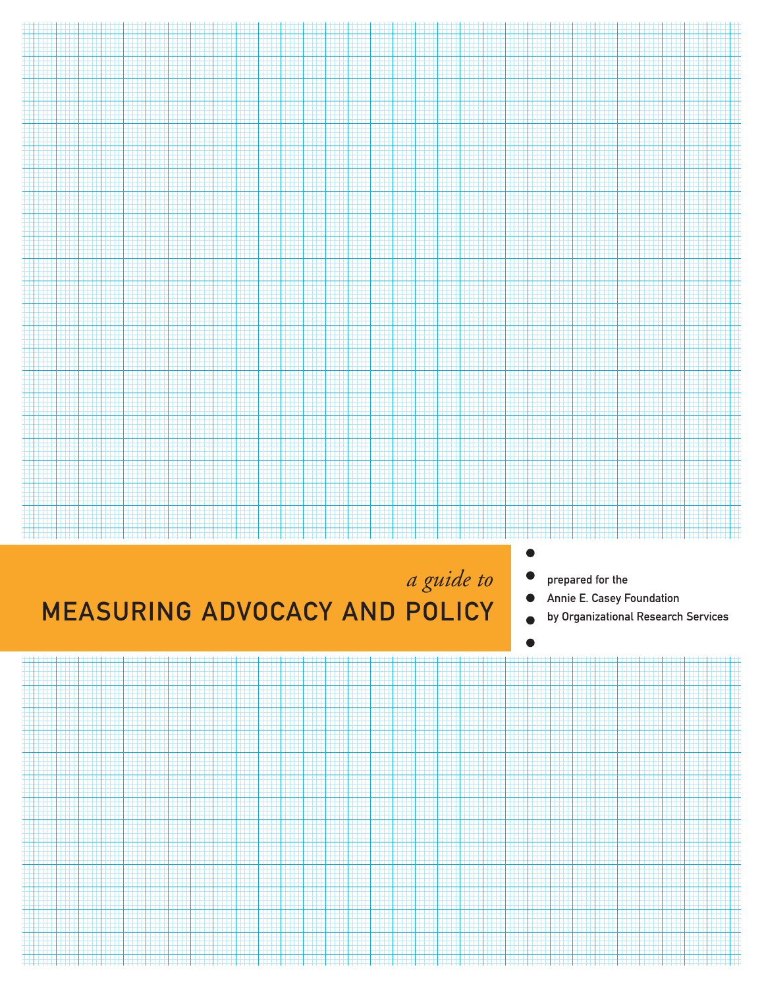

# MEASURING ADVOCACY AND POLICY

- prepared for the
- Annie E. Casey Foundation  $\bullet$
- by Organizational Research Services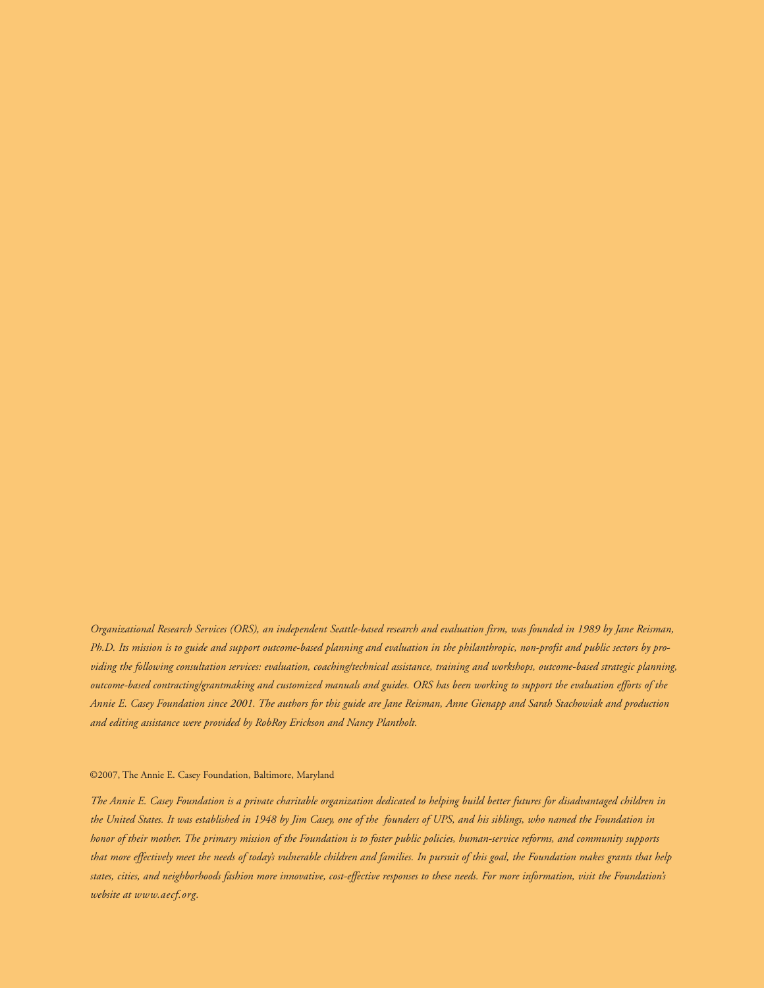*Organizational Research Services (ORS), an independent Seattle-based research and evaluation firm, was founded in 1989 by Jane Reisman, Ph.D. Its mission is to guide and support outcome-based planning and evaluation in the philanthropic, non-profit and public sectors by providing the following consultation services: evaluation, coaching/technical assistance, training and workshops, outcome-based strategic planning, outcome-based contracting/grantmaking and customized manuals and guides. ORS has been working to support the evaluation efforts of the Annie E. Casey Foundation since 2001. The authors for this guide are Jane Reisman, Anne Gienapp and Sarah Stachowiak and production and editing assistance were provided by RobRoy Erickson and Nancy Plantholt.*

#### ©2007, The Annie E. Casey Foundation, Baltimore, Maryland

*The Annie E. Casey Foundation is a private charitable organization dedicated to helping build better futures for disadvantaged children in the United States. It was established in 1948 by Jim Casey, one of the founders of UPS, and his siblings, who named the Foundation in honor of their mother. The primary mission of the Foundation is to foster public policies, human-service reforms, and community supports that more effectively meet the needs of today's vulnerable children and families. In pursuit of this goal, the Foundation makes grants that help states, cities, and neighborhoods fashion more innovative, cost-effective responses to these needs. For more information, visit the Foundation's website at www.aecf.org.*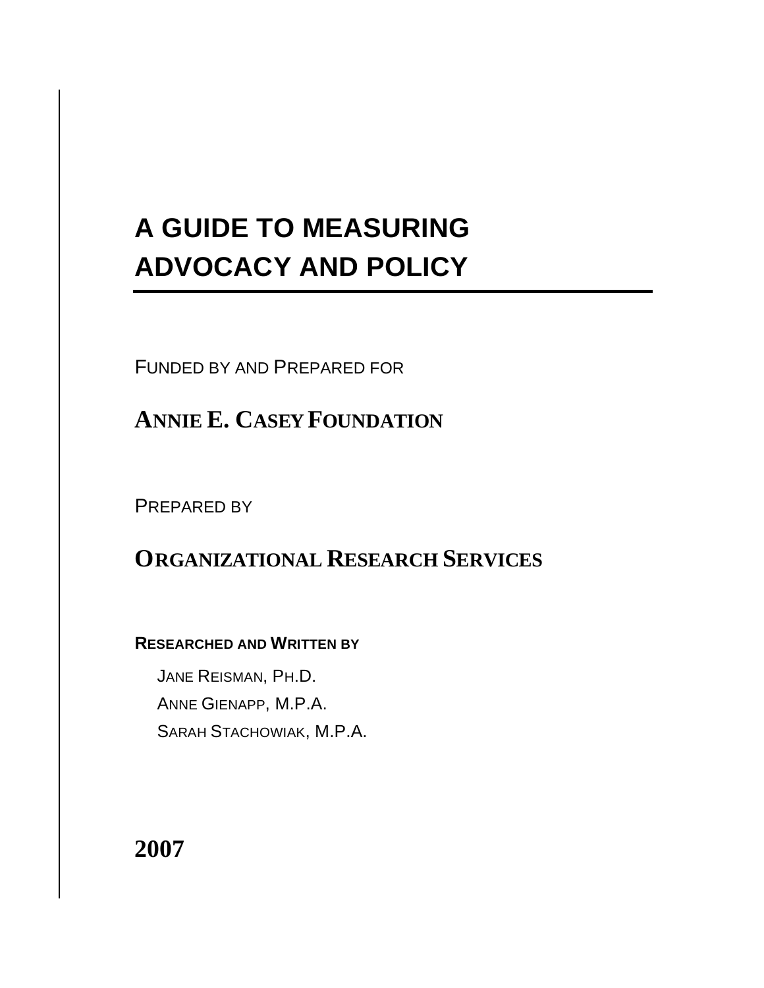# **A GUIDE TO MEASURING ADVOCACY AND POLICY**

FUNDED BY AND PREPARED FOR

**ANNIE E. CASEY FOUNDATION**

PREPARED BY

# **ORGANIZATIONAL RESEARCH SERVICES**

# **RESEARCHED AND WRITTEN BY**

JANE REISMAN, PH.D. ANNE GIENAPP, M.P.A. SARAH STACHOWIAK, M.P.A.

# **2007**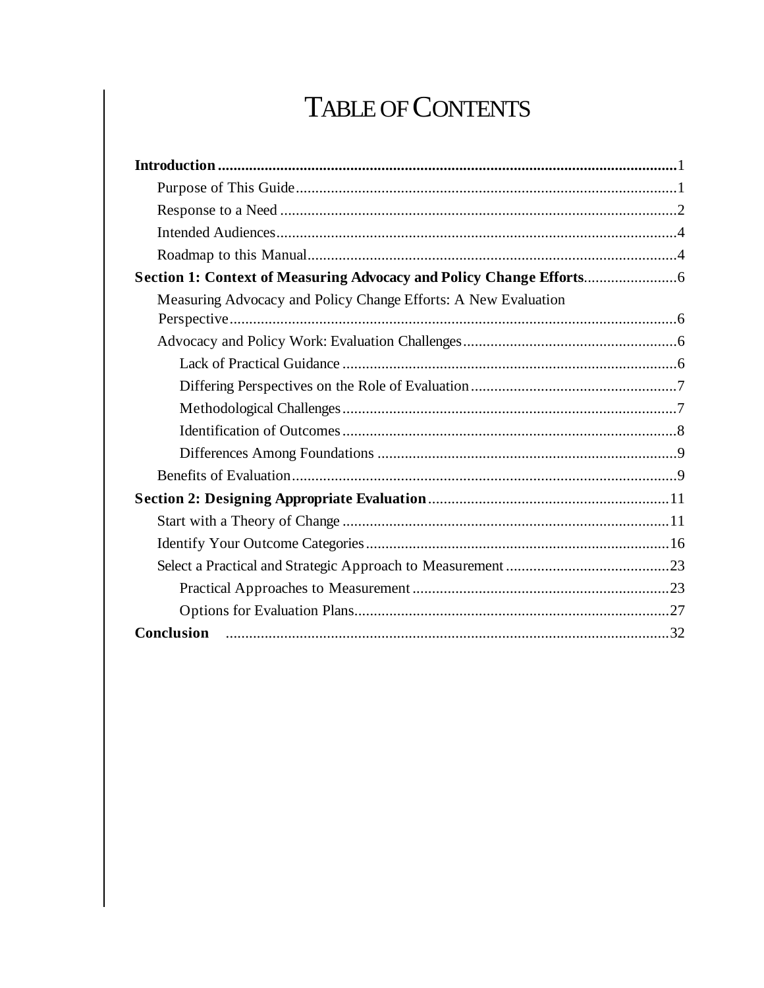# TABLE OF CONTENTS

| Measuring Advocacy and Policy Change Efforts: A New Evaluation |  |
|----------------------------------------------------------------|--|
|                                                                |  |
|                                                                |  |
|                                                                |  |
|                                                                |  |
|                                                                |  |
|                                                                |  |
|                                                                |  |
|                                                                |  |
|                                                                |  |
|                                                                |  |
|                                                                |  |
|                                                                |  |
|                                                                |  |
|                                                                |  |
| Conclusion                                                     |  |
|                                                                |  |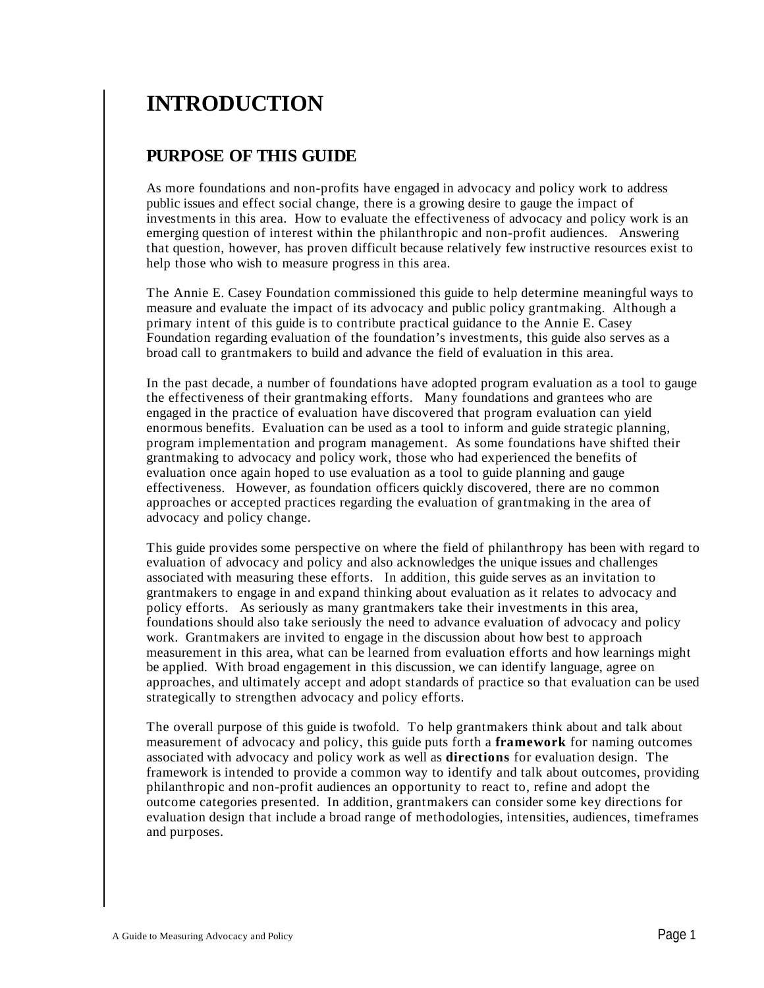# **INTRODUCTION**

## **PURPOSE OF THIS GUIDE**

As more foundations and non-profits have engaged in advocacy and policy work to address public issues and effect social change, there is a growing desire to gauge the impact of investments in this area. How to evaluate the effectiveness of advocacy and policy work is an emerging question of interest within the philanthropic and non-profit audiences. Answering that question, however, has proven difficult because relatively few instructive resources exist to help those who wish to measure progress in this area.

The Annie E. Casey Foundation commissioned this guide to help determine meaningful ways to measure and evaluate the impact of its advocacy and public policy grantmaking. Although a primary intent of this guide is to contribute practical guidance to the Annie E. Casey Foundation regarding evaluation of the foundation's investments, this guide also serves as a broad call to grantmakers to build and advance the field of evaluation in this area.

In the past decade, a number of foundations have adopted program evaluation as a tool to gauge the effectiveness of their grantmaking efforts. Many foundations and grantees who are engaged in the practice of evaluation have discovered that program evaluation can yield enormous benefits. Evaluation can be used as a tool to inform and guide strategic planning, program implementation and program management. As some foundations have shifted their grantmaking to advocacy and policy work, those who had experienced the benefits of evaluation once again hoped to use evaluation as a tool to guide planning and gauge effectiveness. However, as foundation officers quickly discovered, there are no common approaches or accepted practices regarding the evaluation of grantmaking in the area of advocacy and policy change.

This guide provides some perspective on where the field of philanthropy has been with regard to evaluation of advocacy and policy and also acknowledges the unique issues and challenges associated with measuring these efforts. In addition, this guide serves as an invitation to grantmakers to engage in and expand thinking about evaluation as it relates to advocacy and policy efforts. As seriously as many grantmakers take their investments in this area, foundations should also take seriously the need to advance evaluation of advocacy and policy work. Grantmakers are invited to engage in the discussion about how best to approach measurement in this area, what can be learned from evaluation efforts and how learnings might be applied. With broad engagement in this discussion, we can identify language, agree on approaches, and ultimately accept and adopt standards of practice so that evaluation can be used strategically to strengthen advocacy and policy efforts.

The overall purpose of this guide is twofold. To help grantmakers think about and talk about measurement of advocacy and policy, this guide puts forth a **framework** for naming outcomes associated with advocacy and policy work as well as **directions** for evaluation design. The framework is intended to provide a common way to identify and talk about outcomes, providing philanthropic and non-profit audiences an opportunity to react to, refine and adopt the outcome categories presented. In addition, grantmakers can consider some key directions for evaluation design that include a broad range of methodologies, intensities, audiences, timeframes and purposes.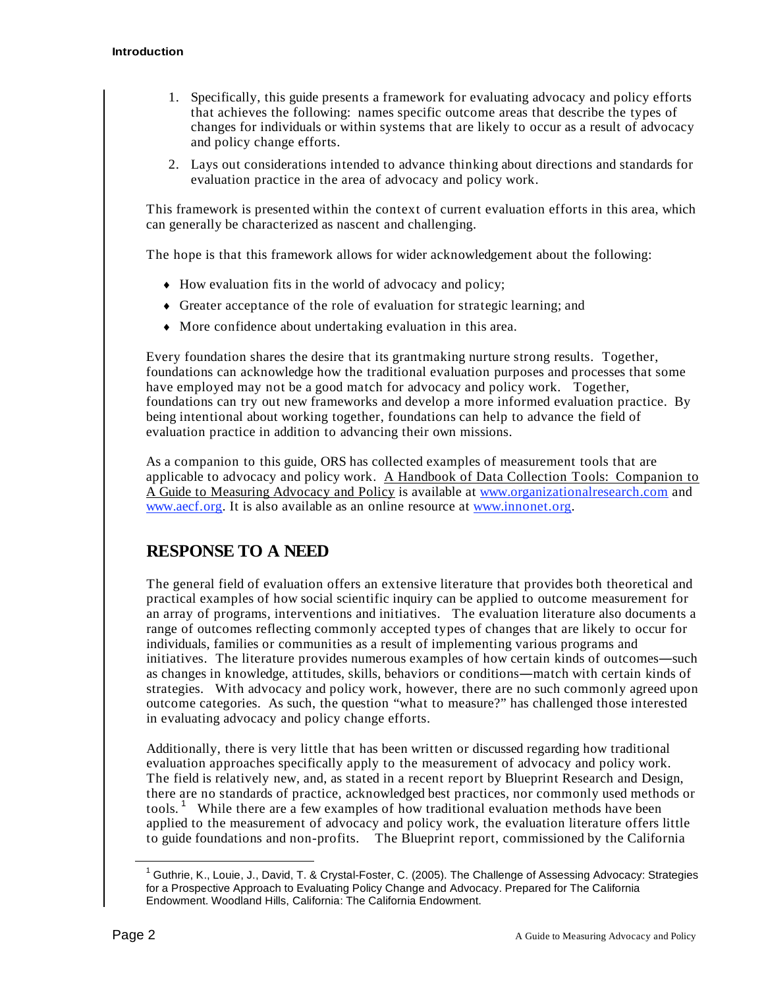- 1. Specifically, this guide presents a framework for evaluating advocacy and policy efforts that achieves the following: names specific outcome areas that describe the types of changes for individuals or within systems that are likely to occur as a result of advocacy and policy change efforts.
- 2. Lays out considerations intended to advance thinking about directions and standards for evaluation practice in the area of advocacy and policy work.

This framework is presented within the context of current evaluation efforts in this area, which can generally be characterized as nascent and challenging.

The hope is that this framework allows for wider acknowledgement about the following:

- $\bullet$  How evaluation fits in the world of advocacy and policy;
- Greater acceptance of the role of evaluation for strategic learning; and
- More confidence about undertaking evaluation in this area.

Every foundation shares the desire that its grantmaking nurture strong results. Together, foundations can acknowledge how the traditional evaluation purposes and processes that some have employed may not be a good match for advocacy and policy work. Together, foundations can try out new frameworks and develop a more informed evaluation practice. By being intentional about working together, foundations can help to advance the field of evaluation practice in addition to advancing their own missions.

As a companion to this guide, ORS has collected examples of measurement tools that are applicable to advocacy and policy work. A Handbook of Data Collection Tools: Companion to A Guide to Measuring Advocacy and Policy is available at www.organizationalresearch.com and www.aecf.org. It is also available as an online resource at www.innonet.org.

### **RESPONSE TO A NEED**

The general field of evaluation offers an extensive literature that provides both theoretical and practical examples of how social scientific inquiry can be applied to outcome measurement for an array of programs, interventions and initiatives. The evaluation literature also documents a range of outcomes reflecting commonly accepted types of changes that are likely to occur for individuals, families or communities as a result of implementing various programs and initiatives. The literature provides numerous examples of how certain kinds of outcomes—such as changes in knowledge, attitudes, skills, behaviors or conditions—match with certain kinds of strategies. With advocacy and policy work, however, there are no such commonly agreed upon outcome categories. As such, the question "what to measure?" has challenged those interested in evaluating advocacy and policy change efforts.

Additionally, there is very little that has been written or discussed regarding how traditional evaluation approaches specifically apply to the measurement of advocacy and policy work. The field is relatively new, and, as stated in a recent report by Blueprint Research and Design, there are no standards of practice, acknowledged best practices, nor commonly used methods or tools.<sup>1</sup> While there are a few examples of how traditional evaluation methods have been applied to the measurement of advocacy and policy work, the evaluation literature offers little to guide foundations and non-profits. The Blueprint report, commissioned by the California

1 Guthrie, K., Louie, J., David, T. & Crystal-Foster, C. (2005). The Challenge of Assessing Advocacy: Strategies for a Prospective Approach to Evaluating Policy Change and Advocacy. Prepared for The California Endowment. Woodland Hills, California: The California Endowment.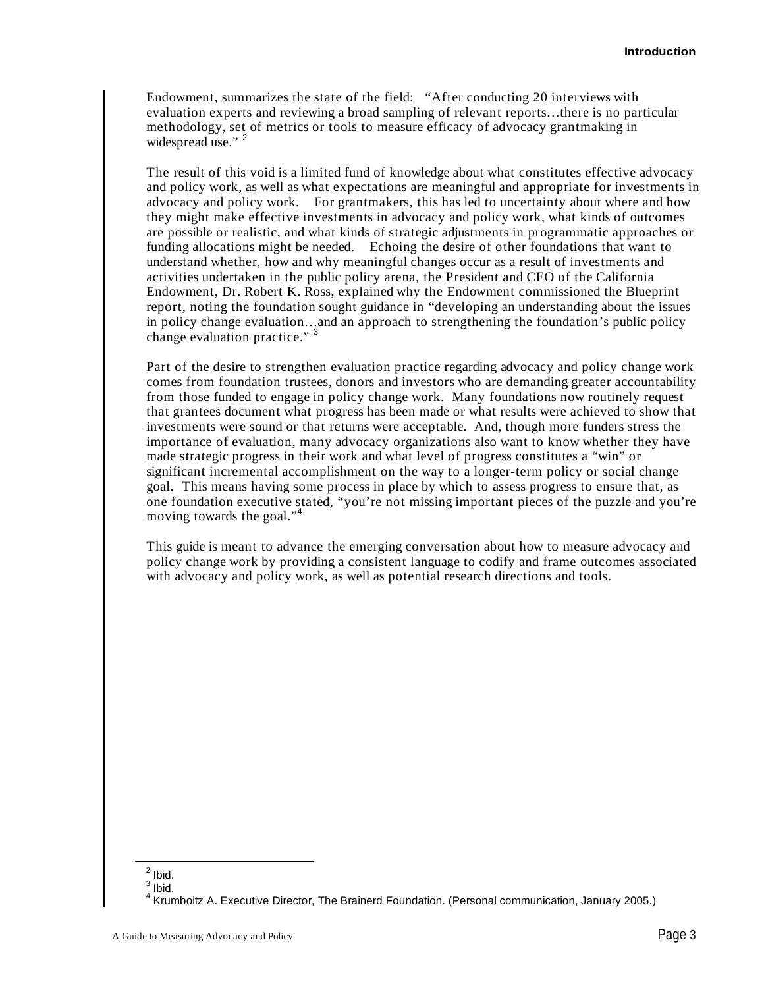Endowment, summarizes the state of the field: "After conducting 20 interviews with evaluation experts and reviewing a broad sampling of relevant reports…there is no particular methodology, set of metrics or tools to measure efficacy of advocacy grantmaking in widespread use." <sup>2</sup>

The result of this void is a limited fund of knowledge about what constitutes effective advocacy and policy work, as well as what expectations are meaningful and appropriate for investments in advocacy and policy work. For grantmakers, this has led to uncertainty about where and how they might make effective investments in advocacy and policy work, what kinds of outcomes are possible or realistic, and what kinds of strategic adjustments in programmatic approaches or funding allocations might be needed. Echoing the desire of other foundations that want to understand whether, how and why meaningful changes occur as a result of investments and activities undertaken in the public policy arena, the President and CEO of the California Endowment, Dr. Robert K. Ross, explained why the Endowment commissioned the Blueprint report, noting the foundation sought guidance in "developing an understanding about the issues in policy change evaluation…and an approach to strengthening the foundation's public policy change evaluation practice."<sup>3</sup>

Part of the desire to strengthen evaluation practice regarding advocacy and policy change work comes from foundation trustees, donors and investors who are demanding greater accountability from those funded to engage in policy change work. Many foundations now routinely request that grantees document what progress has been made or what results were achieved to show that investments were sound or that returns were acceptable. And, though more funders stress the importance of evaluation, many advocacy organizations also want to know whether they have made strategic progress in their work and what level of progress constitutes a "win" or significant incremental accomplishment on the way to a longer-term policy or social change goal. This means having some process in place by which to assess progress to ensure that, as one foundation executive stated, "you're not missing important pieces of the puzzle and you're moving towards the goal."<sup>4</sup>

This guide is meant to advance the emerging conversation about how to measure advocacy and policy change work by providing a consistent language to codify and frame outcomes associated with advocacy and policy work, as well as potential research directions and tools.

 $\frac{2}{1}$  lbid.  $3$  Ibid.

<sup>&</sup>lt;sup>4</sup> Krumboltz A. Executive Director, The Brainerd Foundation. (Personal communication, January 2005.)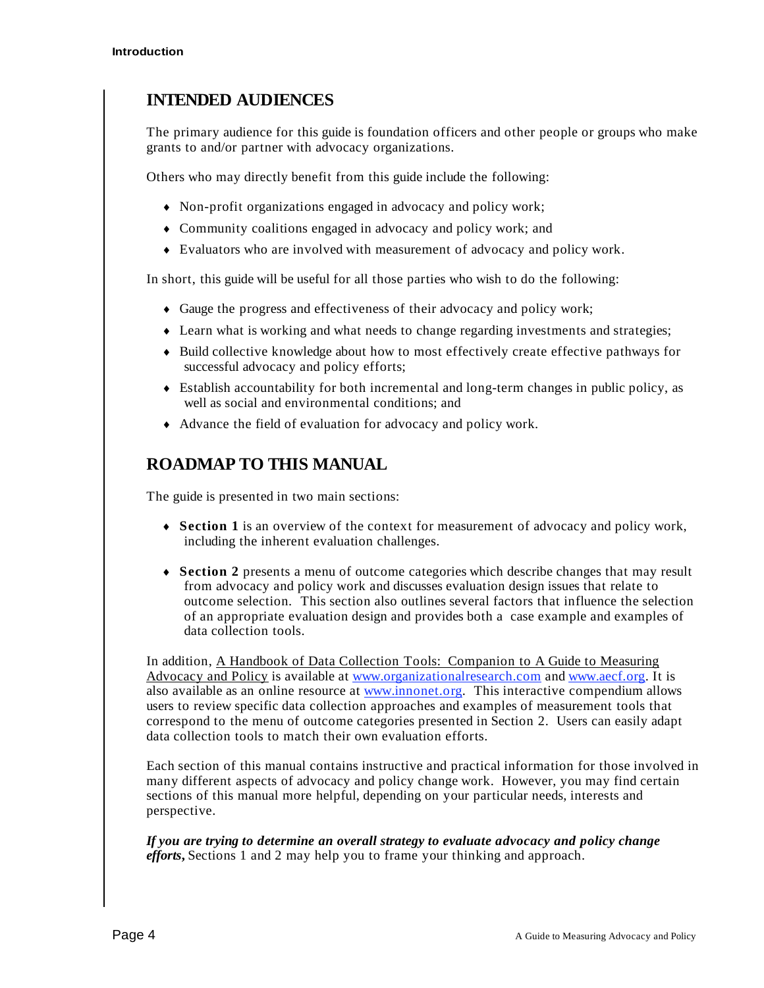# **INTENDED AUDIENCES**

The primary audience for this guide is foundation officers and other people or groups who make grants to and/or partner with advocacy organizations.

Others who may directly benefit from this guide include the following:

- Non-profit organizations engaged in advocacy and policy work;
- Community coalitions engaged in advocacy and policy work; and
- Evaluators who are involved with measurement of advocacy and policy work.

In short, this guide will be useful for all those parties who wish to do the following:

- Gauge the progress and effectiveness of their advocacy and policy work;
- Learn what is working and what needs to change regarding investments and strategies;
- $\bullet$  Build collective knowledge about how to most effectively create effective pathways for successful advocacy and policy efforts;
- Establish accountability for both incremental and long-term changes in public policy, as well as social and environmental conditions; and
- Advance the field of evaluation for advocacy and policy work.

## **ROADMAP TO THIS MANUAL**

The guide is presented in two main sections:

- **Section 1** is an overview of the context for measurement of advocacy and policy work, including the inherent evaluation challenges.
- **Section 2** presents a menu of outcome categories which describe changes that may result from advocacy and policy work and discusses evaluation design issues that relate to outcome selection. This section also outlines several factors that influence the selection of an appropriate evaluation design and provides both a case example and examples of data collection tools.

In addition, A Handbook of Data Collection Tools: Companion to A Guide to Measuring Advocacy and Policy is available at www.organizationalresearch.com and www.aecf.org. It is also available as an online resource at www.innonet.org. This interactive compendium allows users to review specific data collection approaches and examples of measurement tools that correspond to the menu of outcome categories presented in Section 2. Users can easily adapt data collection tools to match their own evaluation efforts.

Each section of this manual contains instructive and practical information for those involved in many different aspects of advocacy and policy change work. However, you may find certain sections of this manual more helpful, depending on your particular needs, interests and perspective.

*If you are trying to determine an overall strategy to evaluate advocacy and policy change efforts***,** Sections 1 and 2 may help you to frame your thinking and approach.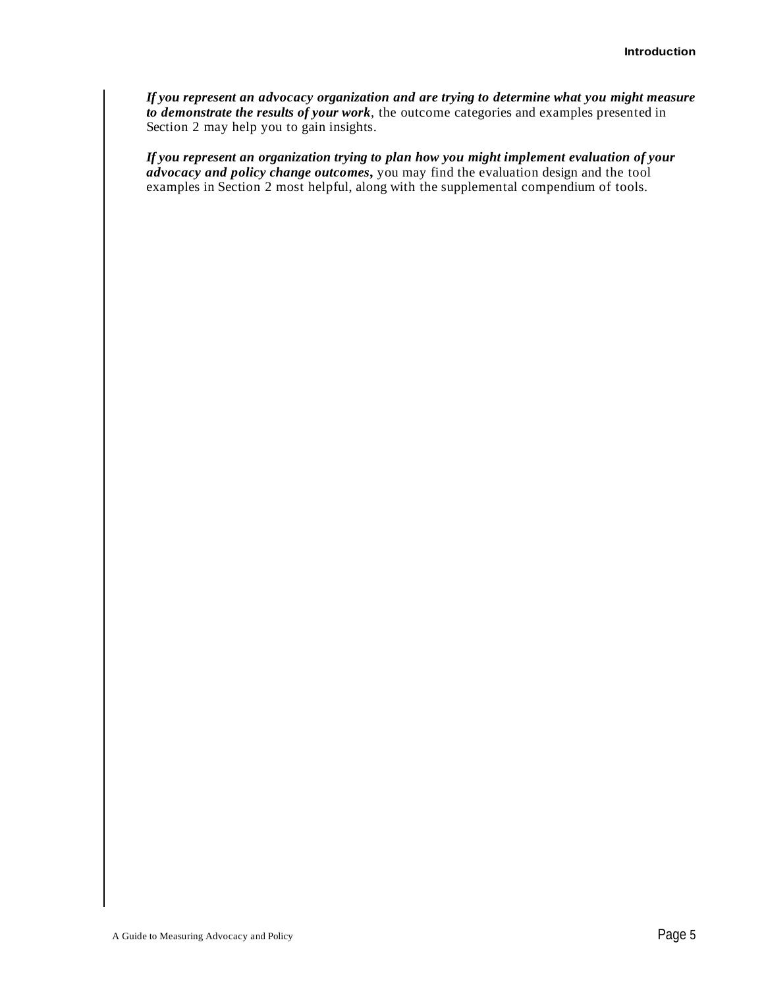*If you represent an advocacy organization and are trying to determine what you might measure to demonstrate the results of your work*, the outcome categories and examples presented in Section 2 may help you to gain insights.

*If you represent an organization trying to plan how you might implement evaluation of your advocacy and policy change outcomes***,** you may find the evaluation design and the tool examples in Section 2 most helpful, along with the supplemental compendium of tools.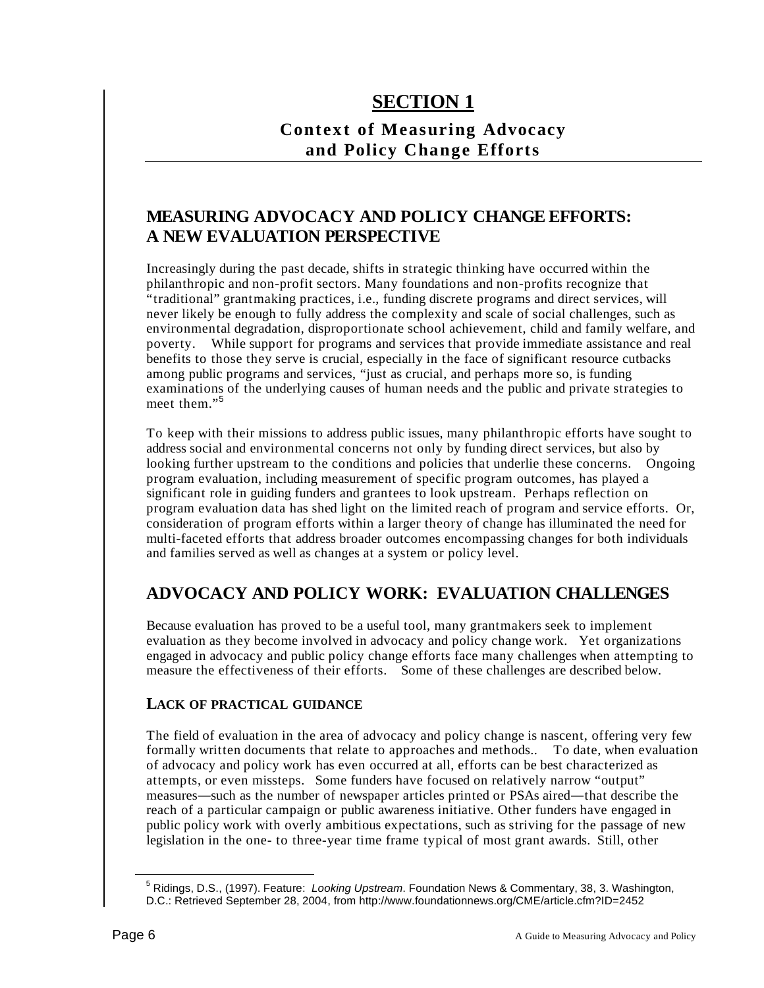# **SECTION 1**

# **Context of Measuring Advocacy and Policy Change Efforts**

# **MEASURING ADVOCACY AND POLICY CHANGE EFFORTS: A NEW EVALUATION PERSPECTIVE**

Increasingly during the past decade, shifts in strategic thinking have occurred within the philanthropic and non-profit sectors. Many foundations and non-profits recognize that "traditional" grantmaking practices, i.e., funding discrete programs and direct services, will never likely be enough to fully address the complexity and scale of social challenges, such as environmental degradation, disproportionate school achievement, child and family welfare, and poverty. While support for programs and services that provide immediate assistance and real benefits to those they serve is crucial, especially in the face of significant resource cutbacks among public programs and services, "just as crucial, and perhaps more so, is funding examinations of the underlying causes of human needs and the public and private strategies to meet them."<sup>5</sup>

To keep with their missions to address public issues, many philanthropic efforts have sought to address social and environmental concerns not only by funding direct services, but also by looking further upstream to the conditions and policies that underlie these concerns. Ongoing program evaluation, including measurement of specific program outcomes, has played a significant role in guiding funders and grantees to look upstream. Perhaps reflection on program evaluation data has shed light on the limited reach of program and service efforts. Or, consideration of program efforts within a larger theory of change has illuminated the need for multi-faceted efforts that address broader outcomes encompassing changes for both individuals and families served as well as changes at a system or policy level.

# **ADVOCACY AND POLICY WORK: EVALUATION CHALLENGES**

Because evaluation has proved to be a useful tool, many grantmakers seek to implement evaluation as they become involved in advocacy and policy change work. Yet organizations engaged in advocacy and public policy change efforts face many challenges when attempting to measure the effectiveness of their efforts. Some of these challenges are described below.

#### **LACK OF PRACTICAL GUIDANCE**

The field of evaluation in the area of advocacy and policy change is nascent, offering very few formally written documents that relate to approaches and methods.. To date, when evaluation of advocacy and policy work has even occurred at all, efforts can be best characterized as attempts, or even missteps. Some funders have focused on relatively narrow "output" measures—such as the number of newspaper articles printed or PSAs aired—that describe the reach of a particular campaign or public awareness initiative. Other funders have engaged in public policy work with overly ambitious expectations, such as striving for the passage of new legislation in the one- to three-year time frame typical of most grant awards. Still, other

5 Ridings, D.S., (1997). Feature: *Looking Upstream*. Foundation News & Commentary, 38, 3. Washington, D.C.: Retrieved September 28, 2004, from http://www.foundationnews.org/CME/article.cfm?ID=2452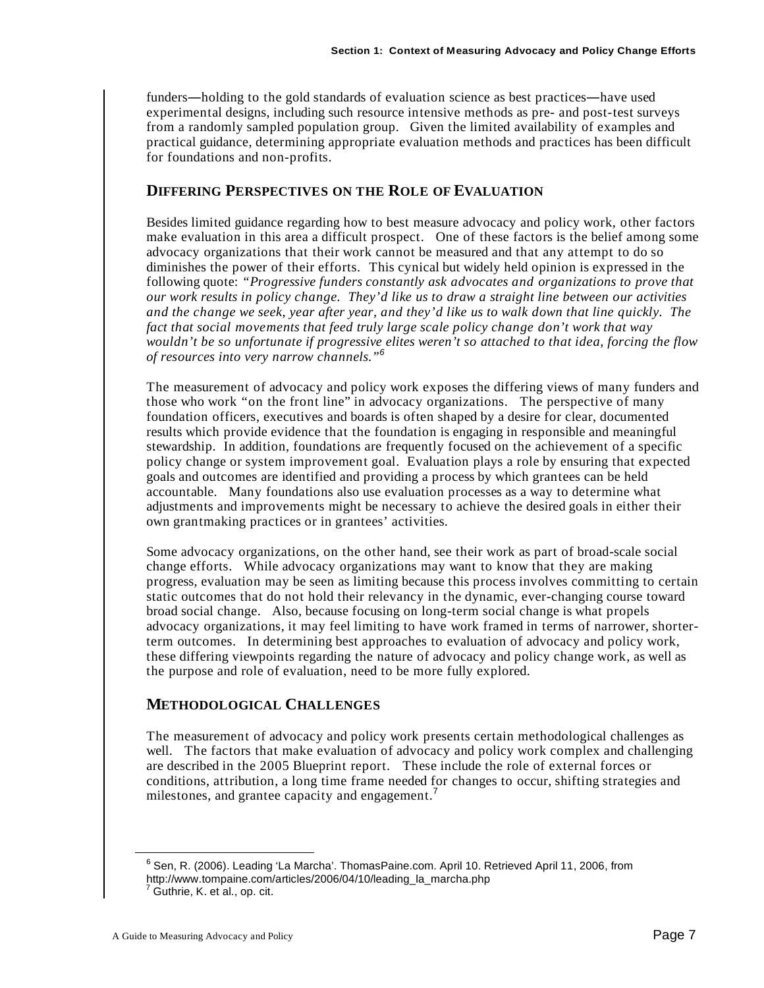funders—holding to the gold standards of evaluation science as best practices—have used experimental designs, including such resource intensive methods as pre- and post-test surveys from a randomly sampled population group. Given the limited availability of examples and practical guidance, determining appropriate evaluation methods and practices has been difficult for foundations and non-profits.

#### **DIFFERING PERSPECTIVES ON THE ROLE OF EVALUATION**

Besides limited guidance regarding how to best measure advocacy and policy work, other factors make evaluation in this area a difficult prospect. One of these factors is the belief among some advocacy organizations that their work cannot be measured and that any attempt to do so diminishes the power of their efforts. This cynical but widely held opinion is expressed in the following quote: *"Progressive funders constantly ask advocates and organizations to prove that our work results in policy change. They'd like us to draw a straight line between our activities and the change we seek, year after year, and they'd like us to walk down that line quickly. The fact that social movements that feed truly large scale policy change don't work that way wouldn't be so unfortunate if progressive elites weren't so attached to that idea, forcing the flow of resources into very narrow channels."<sup>6</sup>* 

The measurement of advocacy and policy work exposes the differing views of many funders and those who work "on the front line" in advocacy organizations. The perspective of many foundation officers, executives and boards is often shaped by a desire for clear, documented results which provide evidence that the foundation is engaging in responsible and meaningful stewardship. In addition, foundations are frequently focused on the achievement of a specific policy change or system improvement goal. Evaluation plays a role by ensuring that expected goals and outcomes are identified and providing a process by which grantees can be held accountable. Many foundations also use evaluation processes as a way to determine what adjustments and improvements might be necessary to achieve the desired goals in either their own grantmaking practices or in grantees' activities.

Some advocacy organizations, on the other hand, see their work as part of broad-scale social change efforts. While advocacy organizations may want to know that they are making progress, evaluation may be seen as limiting because this process involves committing to certain static outcomes that do not hold their relevancy in the dynamic, ever-changing course toward broad social change. Also, because focusing on long-term social change is what propels advocacy organizations, it may feel limiting to have work framed in terms of narrower, shorterterm outcomes. In determining best approaches to evaluation of advocacy and policy work, these differing viewpoints regarding the nature of advocacy and policy change work, as well as the purpose and role of evaluation, need to be more fully explored.

#### **METHODOLOGICAL CHALLENGES**

The measurement of advocacy and policy work presents certain methodological challenges as well. The factors that make evaluation of advocacy and policy work complex and challenging are described in the 2005 Blueprint report. These include the role of external forces or conditions, attribution, a long time frame needed for changes to occur, shifting strategies and milestones, and grantee capacity and engagement.<sup>7</sup>

6 Sen, R. (2006). Leading 'La Marcha'. ThomasPaine.com. April 10. Retrieved April 11, 2006, from http://www.tompaine.com/articles/2006/04/10/leading\_la\_marcha.php 7

Guthrie, K. et al., op. cit.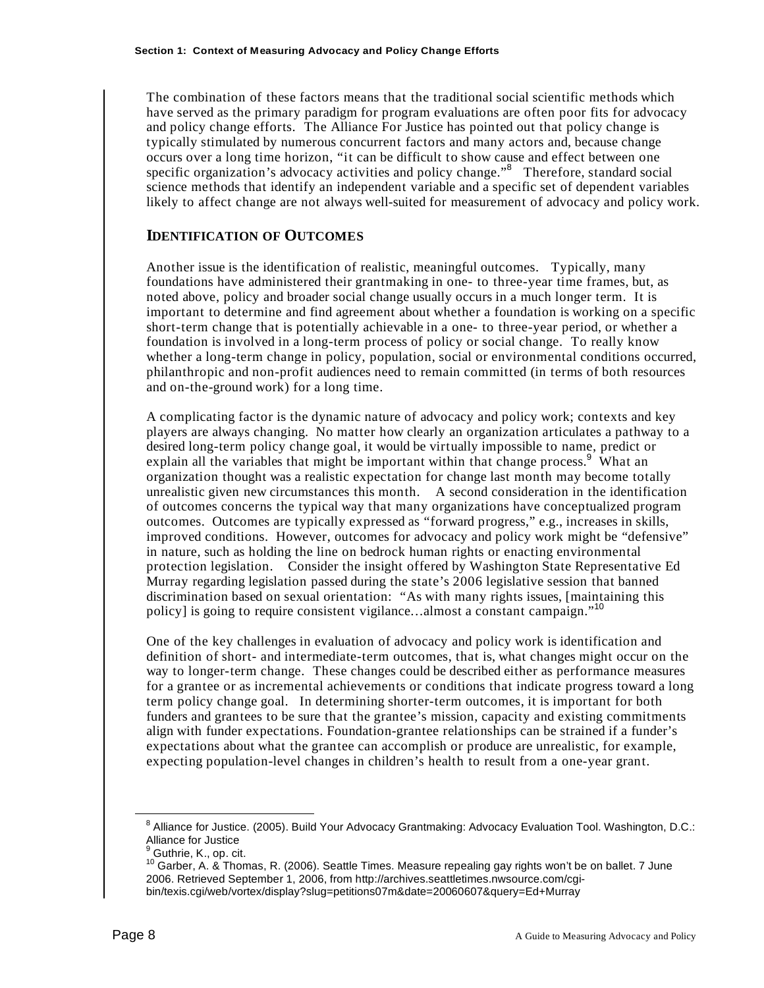The combination of these factors means that the traditional social scientific methods which have served as the primary paradigm for program evaluations are often poor fits for advocacy and policy change efforts. The Alliance For Justice has pointed out that policy change is typically stimulated by numerous concurrent factors and many actors and, because change occurs over a long time horizon, "it can be difficult to show cause and effect between one specific organization's advocacy activities and policy change."<sup>8</sup> Therefore, standard social science methods that identify an independent variable and a specific set of dependent variables likely to affect change are not always well-suited for measurement of advocacy and policy work.

#### **IDENTIFICATION OF OUTCOMES**

Another issue is the identification of realistic, meaningful outcomes. Typically, many foundations have administered their grantmaking in one- to three-year time frames, but, as noted above, policy and broader social change usually occurs in a much longer term. It is important to determine and find agreement about whether a foundation is working on a specific short-term change that is potentially achievable in a one- to three-year period, or whether a foundation is involved in a long-term process of policy or social change. To really know whether a long-term change in policy, population, social or environmental conditions occurred, philanthropic and non-profit audiences need to remain committed (in terms of both resources and on-the-ground work) for a long time.

A complicating factor is the dynamic nature of advocacy and policy work; contexts and key players are always changing. No matter how clearly an organization articulates a pathway to a desired long-term policy change goal, it would be virtually impossible to name, predict or explain all the variables that might be important within that change process.<sup>9</sup> What an organization thought was a realistic expectation for change last month may become totally unrealistic given new circumstances this month. A second consideration in the identification of outcomes concerns the typical way that many organizations have conceptualized program outcomes. Outcomes are typically expressed as "forward progress," e.g., increases in skills, improved conditions. However, outcomes for advocacy and policy work might be "defensive" in nature, such as holding the line on bedrock human rights or enacting environmental protection legislation. Consider the insight offered by Washington State Representative Ed Murray regarding legislation passed during the state's 2006 legislative session that banned discrimination based on sexual orientation: "As with many rights issues, [maintaining this policy] is going to require consistent vigilance...almost a constant campaign."<sup>10</sup>

One of the key challenges in evaluation of advocacy and policy work is identification and definition of short- and intermediate-term outcomes, that is, what changes might occur on the way to longer-term change. These changes could be described either as performance measures for a grantee or as incremental achievements or conditions that indicate progress toward a long term policy change goal. In determining shorter-term outcomes, it is important for both funders and grantees to be sure that the grantee's mission, capacity and existing commitments align with funder expectations. Foundation-grantee relationships can be strained if a funder's expectations about what the grantee can accomplish or produce are unrealistic, for example, expecting population-level changes in children's health to result from a one-year grant.

EMBLE 2005<br>
<sup>8</sup> Alliance for Justice. (2005). Build Your Advocacy Grantmaking: Advocacy Evaluation Tool. Washington, D.C.: Alliance for Justice

<sup>&</sup>lt;sup>9</sup> Guthrie, K., op. cit.

<sup>&</sup>lt;sup>10</sup> Garber, A. & Thomas, R. (2006). Seattle Times. Measure repealing gay rights won't be on ballet. 7 June 2006. Retrieved September 1, 2006, from http://archives.seattletimes.nwsource.com/cgibin/texis.cgi/web/vortex/display?slug=petitions07m&date=20060607&query=Ed+Murray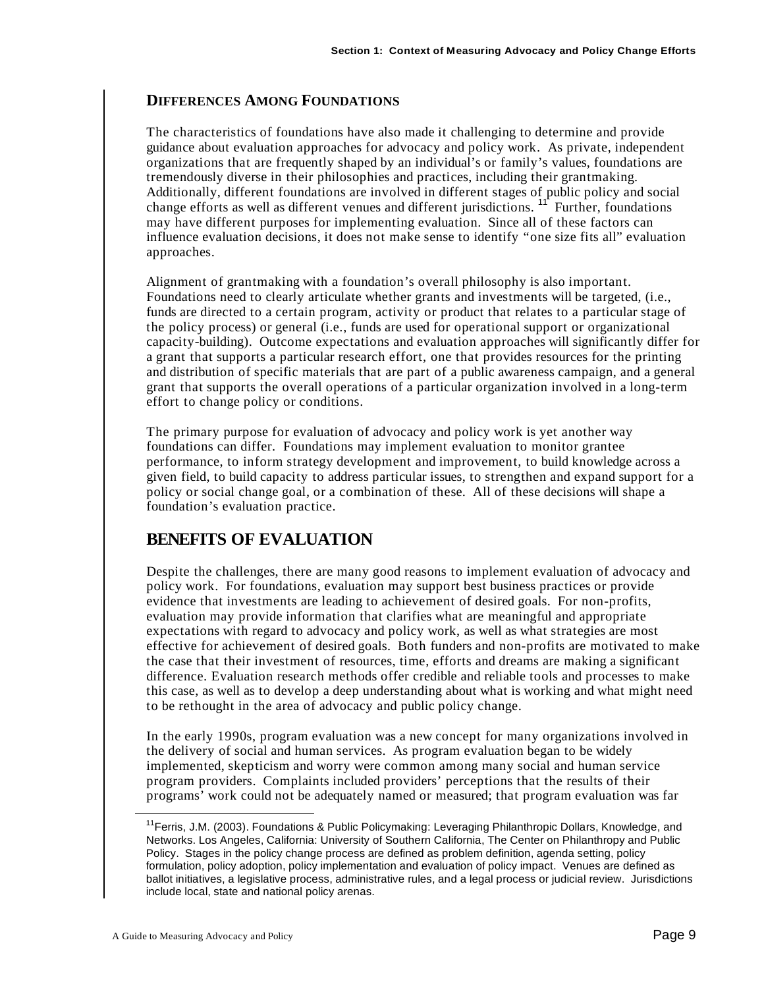#### **DIFFERENCES AMONG FOUNDATIONS**

The characteristics of foundations have also made it challenging to determine and provide guidance about evaluation approaches for advocacy and policy work. As private, independent organizations that are frequently shaped by an individual's or family's values, foundations are tremendously diverse in their philosophies and practices, including their grantmaking. Additionally, different foundations are involved in different stages of public policy and social change efforts as well as different venues and different jurisdictions.  $11$  Further, foundations may have different purposes for implementing evaluation. Since all of these factors can influence evaluation decisions, it does not make sense to identify "one size fits all" evaluation approaches.

Alignment of grantmaking with a foundation's overall philosophy is also important. Foundations need to clearly articulate whether grants and investments will be targeted, (i.e., funds are directed to a certain program, activity or product that relates to a particular stage of the policy process) or general (i.e., funds are used for operational support or organizational capacity-building). Outcome expectations and evaluation approaches will significantly differ for a grant that supports a particular research effort, one that provides resources for the printing and distribution of specific materials that are part of a public awareness campaign, and a general grant that supports the overall operations of a particular organization involved in a long-term effort to change policy or conditions.

The primary purpose for evaluation of advocacy and policy work is yet another way foundations can differ. Foundations may implement evaluation to monitor grantee performance, to inform strategy development and improvement, to build knowledge across a given field, to build capacity to address particular issues, to strengthen and expand support for a policy or social change goal, or a combination of these. All of these decisions will shape a foundation's evaluation practice.

### **BENEFITS OF EVALUATION**

Despite the challenges, there are many good reasons to implement evaluation of advocacy and policy work. For foundations, evaluation may support best business practices or provide evidence that investments are leading to achievement of desired goals. For non-profits, evaluation may provide information that clarifies what are meaningful and appropriate expectations with regard to advocacy and policy work, as well as what strategies are most effective for achievement of desired goals. Both funders and non-profits are motivated to make the case that their investment of resources, time, efforts and dreams are making a significant difference. Evaluation research methods offer credible and reliable tools and processes to make this case, as well as to develop a deep understanding about what is working and what might need to be rethought in the area of advocacy and public policy change.

In the early 1990s, program evaluation was a new concept for many organizations involved in the delivery of social and human services. As program evaluation began to be widely implemented, skepticism and worry were common among many social and human service program providers. Complaints included providers' perceptions that the results of their programs' work could not be adequately named or measured; that program evaluation was far

<sup>&</sup>lt;sup>11</sup> Ferris, J.M. (2003). Foundations & Public Policymaking: Leveraging Philanthropic Dollars, Knowledge, and Networks. Los Angeles, California: University of Southern California, The Center on Philanthropy and Public Policy. Stages in the policy change process are defined as problem definition, agenda setting, policy formulation, policy adoption, policy implementation and evaluation of policy impact. Venues are defined as ballot initiatives, a legislative process, administrative rules, and a legal process or judicial review. Jurisdictions include local, state and national policy arenas.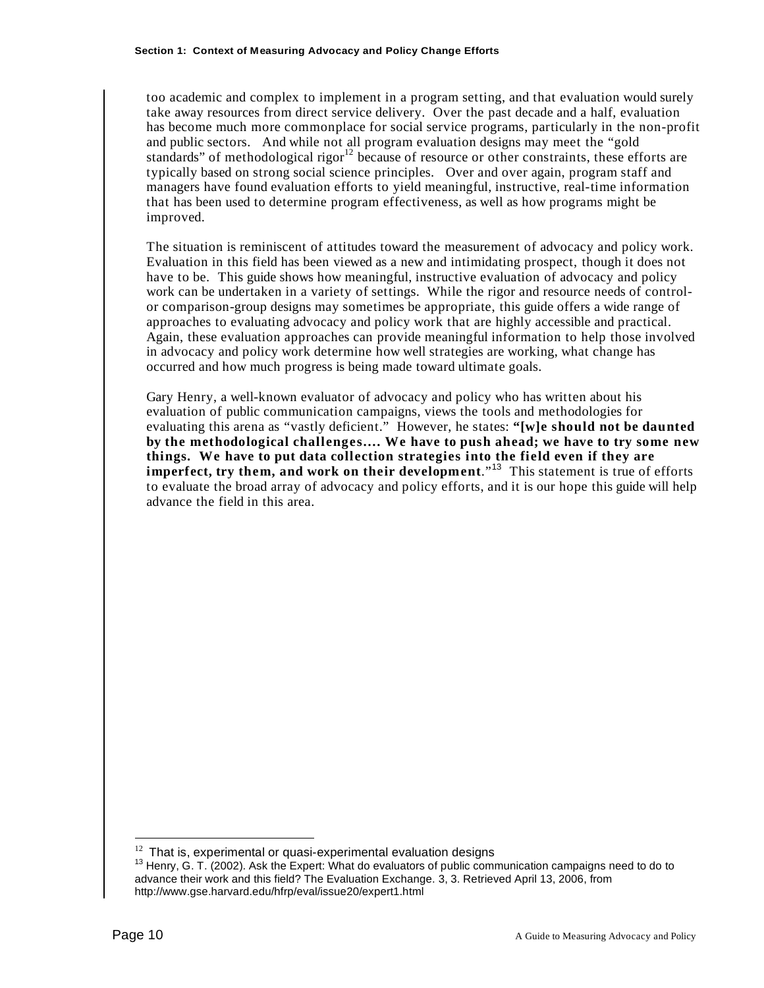too academic and complex to implement in a program setting, and that evaluation would surely take away resources from direct service delivery. Over the past decade and a half, evaluation has become much more commonplace for social service programs, particularly in the non-profit and public sectors. And while not all program evaluation designs may meet the "gold standards" of methodological rigor $12$  because of resource or other constraints, these efforts are typically based on strong social science principles. Over and over again, program staff and managers have found evaluation efforts to yield meaningful, instructive, real-time information that has been used to determine program effectiveness, as well as how programs might be improved.

The situation is reminiscent of attitudes toward the measurement of advocacy and policy work. Evaluation in this field has been viewed as a new and intimidating prospect, though it does not have to be. This guide shows how meaningful, instructive evaluation of advocacy and policy work can be undertaken in a variety of settings. While the rigor and resource needs of controlor comparison-group designs may sometimes be appropriate, this guide offers a wide range of approaches to evaluating advocacy and policy work that are highly accessible and practical. Again, these evaluation approaches can provide meaningful information to help those involved in advocacy and policy work determine how well strategies are working, what change has occurred and how much progress is being made toward ultimate goals.

Gary Henry, a well-known evaluator of advocacy and policy who has written about his evaluation of public communication campaigns, views the tools and methodologies for evaluating this arena as "vastly deficient." However, he states: **"[w]e should not be daunted by the methodological challenges…. We have to push ahead; we have to try some new things. We have to put data collection strategies into the field even if they are imperfect, try them, and work on their development**."<sup>13</sup> This statement is true of efforts to evaluate the broad array of advocacy and policy efforts, and it is our hope this guide will help advance the field in this area.

 $12$  That is, experimental or quasi-experimental evaluation designs

 $13$  Henry, G. T. (2002). Ask the Expert: What do evaluators of public communication campaigns need to do to advance their work and this field? The Evaluation Exchange. 3, 3. Retrieved April 13, 2006, from http://www.gse.harvard.edu/hfrp/eval/issue20/expert1.html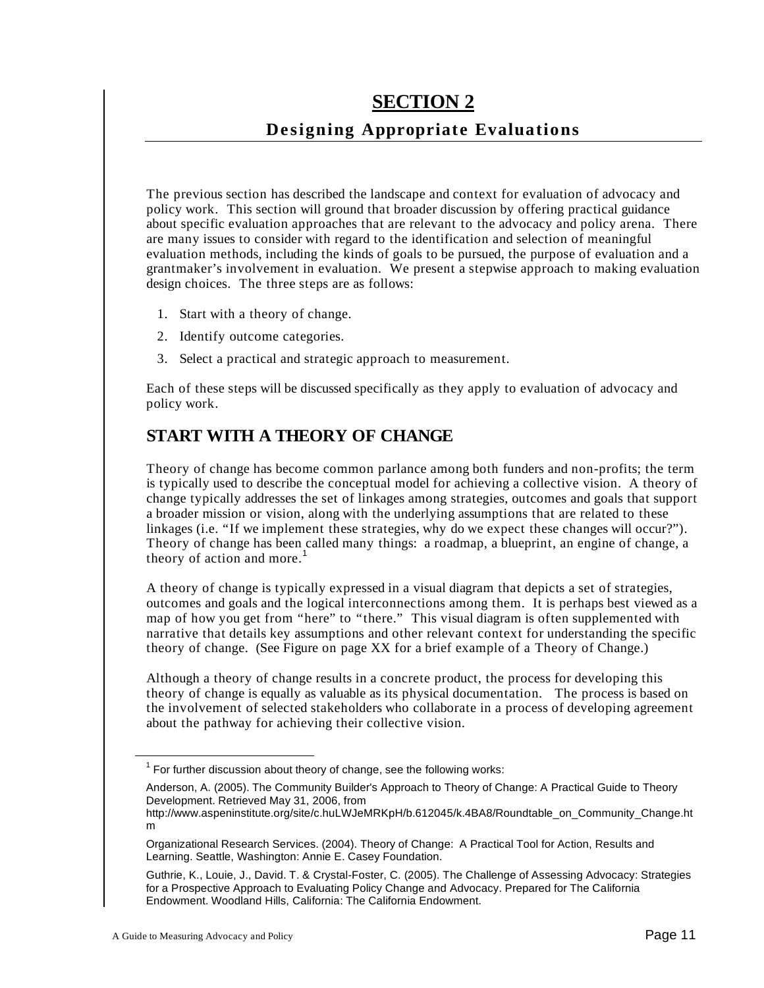# **SECTION 2**

# **Designing Appropriate Evaluations**

The previous section has described the landscape and context for evaluation of advocacy and policy work. This section will ground that broader discussion by offering practical guidance about specific evaluation approaches that are relevant to the advocacy and policy arena. There are many issues to consider with regard to the identification and selection of meaningful evaluation methods, including the kinds of goals to be pursued, the purpose of evaluation and a grantmaker's involvement in evaluation. We present a stepwise approach to making evaluation design choices. The three steps are as follows:

- 1. Start with a theory of change.
- 2. Identify outcome categories.
- 3. Select a practical and strategic approach to measurement.

Each of these steps will be discussed specifically as they apply to evaluation of advocacy and policy work.

### **START WITH A THEORY OF CHANGE**

Theory of change has become common parlance among both funders and non-profits; the term is typically used to describe the conceptual model for achieving a collective vision. A theory of change typically addresses the set of linkages among strategies, outcomes and goals that support a broader mission or vision, along with the underlying assumptions that are related to these linkages (i.e. "If we implement these strategies, why do we expect these changes will occur?"). Theory of change has been called many things: a roadmap, a blueprint, an engine of change, a theory of action and more.<sup>1</sup>

A theory of change is typically expressed in a visual diagram that depicts a set of strategies, outcomes and goals and the logical interconnections among them. It is perhaps best viewed as a map of how you get from "here" to "there." This visual diagram is often supplemented with narrative that details key assumptions and other relevant context for understanding the specific theory of change. (See Figure on page XX for a brief example of a Theory of Change.)

Although a theory of change results in a concrete product, the process for developing this theory of change is equally as valuable as its physical documentation. The process is based on the involvement of selected stakeholders who collaborate in a process of developing agreement about the pathway for achieving their collective vision.

http://www.aspeninstitute.org/site/c.huLWJeMRKpH/b.612045/k.4BA8/Roundtable\_on\_Community\_Change.ht m

The Tor further discussion about theory of change, see the following works:

Anderson, A. (2005). The Community Builder's Approach to Theory of Change: A Practical Guide to Theory Development. Retrieved May 31, 2006, from

Organizational Research Services. (2004). Theory of Change: A Practical Tool for Action, Results and Learning. Seattle, Washington: Annie E. Casey Foundation.

Guthrie, K., Louie, J., David. T. & Crystal-Foster, C. (2005). The Challenge of Assessing Advocacy: Strategies for a Prospective Approach to Evaluating Policy Change and Advocacy. Prepared for The California Endowment. Woodland Hills, California: The California Endowment.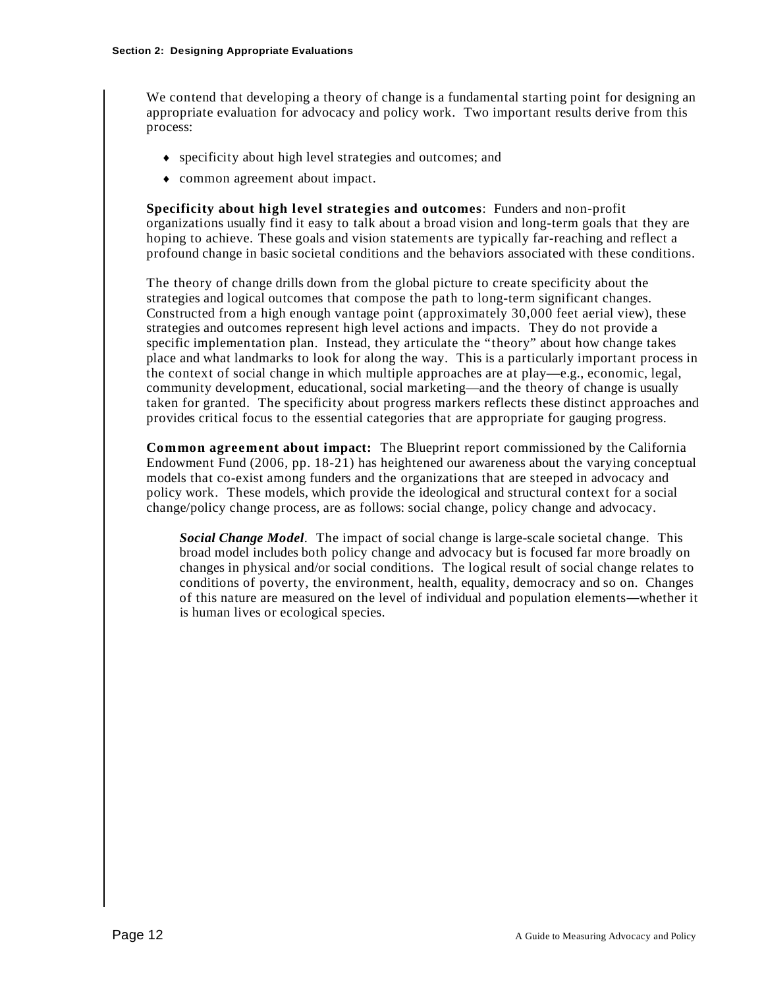We contend that developing a theory of change is a fundamental starting point for designing an appropriate evaluation for advocacy and policy work. Two important results derive from this process:

- specificity about high level strategies and outcomes; and
- common agreement about impact.

**Specificity about high level strategies and outcomes**: Funders and non-profit organizations usually find it easy to talk about a broad vision and long-term goals that they are hoping to achieve. These goals and vision statements are typically far-reaching and reflect a profound change in basic societal conditions and the behaviors associated with these conditions.

The theory of change drills down from the global picture to create specificity about the strategies and logical outcomes that compose the path to long-term significant changes. Constructed from a high enough vantage point (approximately 30,000 feet aerial view), these strategies and outcomes represent high level actions and impacts. They do not provide a specific implementation plan. Instead, they articulate the "theory" about how change takes place and what landmarks to look for along the way. This is a particularly important process in the context of social change in which multiple approaches are at play—e.g., economic, legal, community development, educational, social marketing—and the theory of change is usually taken for granted. The specificity about progress markers reflects these distinct approaches and provides critical focus to the essential categories that are appropriate for gauging progress.

**Common agreement about impact:** The Blueprint report commissioned by the California Endowment Fund (2006, pp. 18-21) has heightened our awareness about the varying conceptual models that co-exist among funders and the organizations that are steeped in advocacy and policy work. These models, which provide the ideological and structural context for a social change/policy change process, are as follows: social change, policy change and advocacy.

*Social Change Model.* The impact of social change is large-scale societal change. This broad model includes both policy change and advocacy but is focused far more broadly on changes in physical and/or social conditions. The logical result of social change relates to conditions of poverty, the environment, health, equality, democracy and so on. Changes of this nature are measured on the level of individual and population elements—whether it is human lives or ecological species.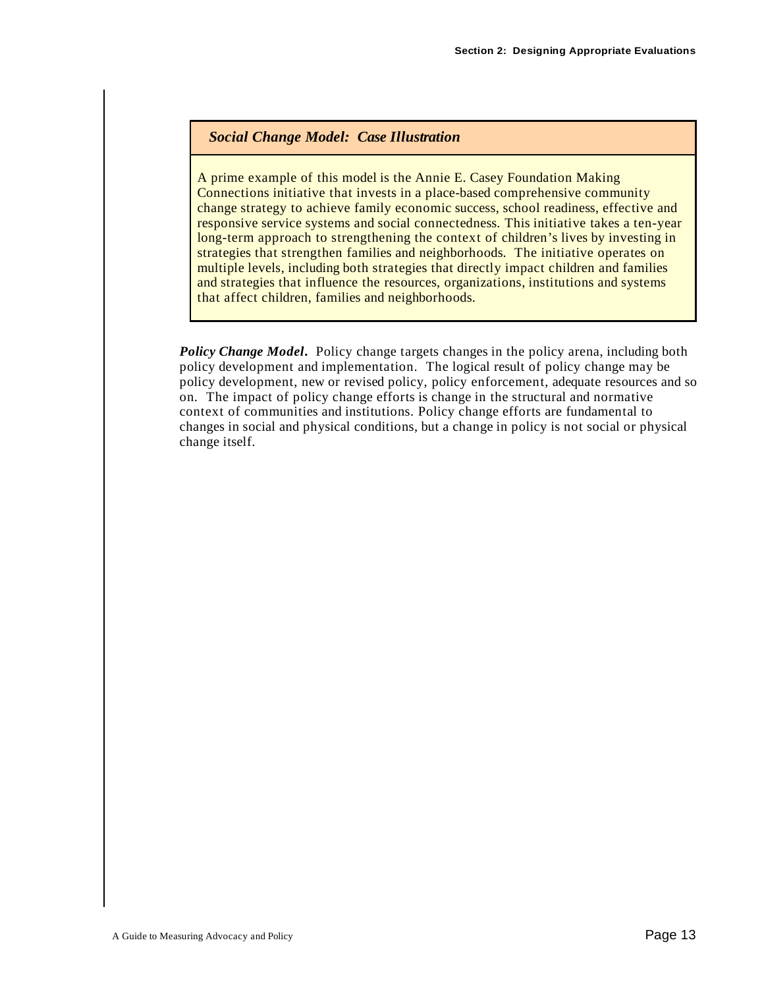#### *Social Change Model: Case Illustration*

A prime example of this model is the Annie E. Casey Foundation Making Connections initiative that invests in a place-based comprehensive community change strategy to achieve family economic success, school readiness, effective and responsive service systems and social connectedness. This initiative takes a ten-year long-term approach to strengthening the context of children's lives by investing in strategies that strengthen families and neighborhoods. The initiative operates on multiple levels, including both strategies that directly impact children and families and strategies that influence the resources, organizations, institutions and systems that affect children, families and neighborhoods.

*Policy Change Model***.** Policy change targets changes in the policy arena, including both policy development and implementation. The logical result of policy change may be policy development, new or revised policy, policy enforcement, adequate resources and so on. The impact of policy change efforts is change in the structural and normative context of communities and institutions. Policy change efforts are fundamental to changes in social and physical conditions, but a change in policy is not social or physical change itself.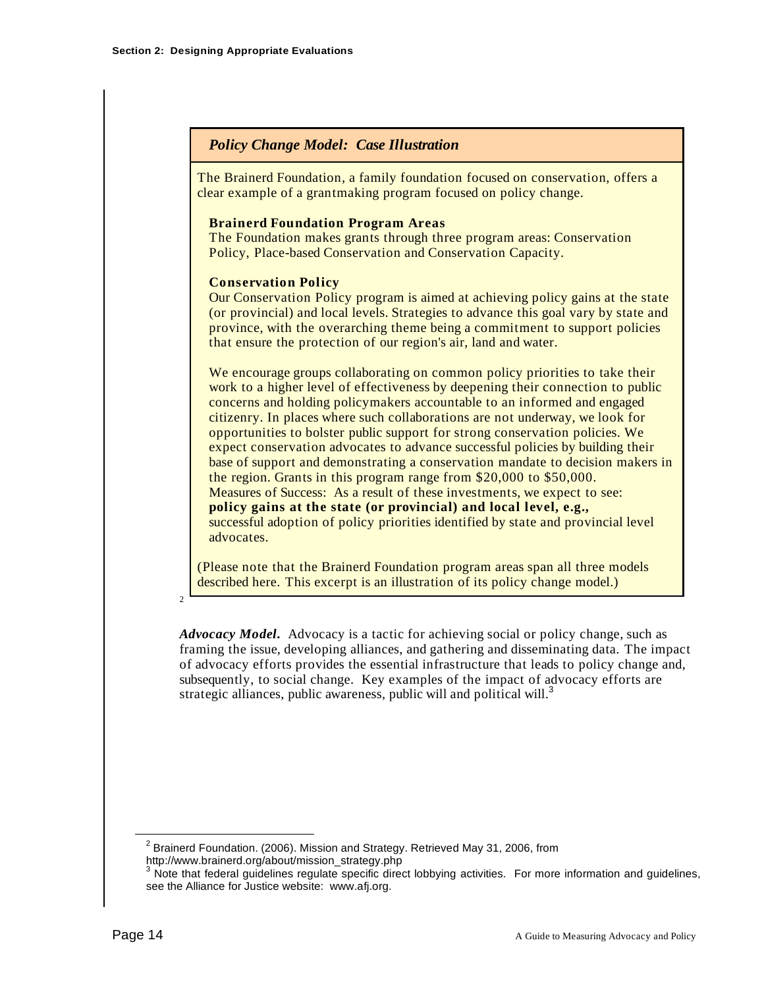#### *Policy Change Model: Case Illustration*

The Brainerd Foundation, a family foundation focused on conservation, offers a clear example of a grantmaking program focused on policy change.

#### **Brainerd Foundation Program Areas**

The Foundation makes grants through three program areas: Conservation Policy, Place-based Conservation and Conservation Capacity.

#### **Conservation Policy**

Our Conservation Policy program is aimed at achieving policy gains at the state (or provincial) and local levels. Strategies to advance this goal vary by state and province, with the overarching theme being a commitment to support policies that ensure the protection of our region's air, land and water.

We encourage groups collaborating on common policy priorities to take their work to a higher level of effectiveness by deepening their connection to public concerns and holding policymakers accountable to an informed and engaged citizenry. In places where such collaborations are not underway, we look for opportunities to bolster public support for strong conservation policies. We expect conservation advocates to advance successful policies by building their base of support and demonstrating a conservation mandate to decision makers in the region. Grants in this program range from \$20,000 to \$50,000. Measures of Success: As a result of these investments, we expect to see: **policy gains at the state (or provincial) and local level, e.g.,** successful adoption of policy priorities identified by state and provincial level advocates.

(Please note that the Brainerd Foundation program areas span all three models described here. This excerpt is an illustration of its policy change model.)

 $\overline{2}$ 

*Advocacy Model***.** Advocacy is a tactic for achieving social or policy change, such as framing the issue, developing alliances, and gathering and disseminating data. The impact of advocacy efforts provides the essential infrastructure that leads to policy change and, subsequently, to social change. Key examples of the impact of advocacy efforts are strategic alliances, public awareness, public will and political will.<sup>3</sup>

2 Brainerd Foundation. (2006). Mission and Strategy. Retrieved May 31, 2006, from http://www.brainerd.org/about/mission\_strategy.php

<sup>&</sup>lt;sup>3</sup> Note that federal guidelines regulate specific direct lobbying activities. For more information and guidelines, see the Alliance for Justice website: www.afj.org.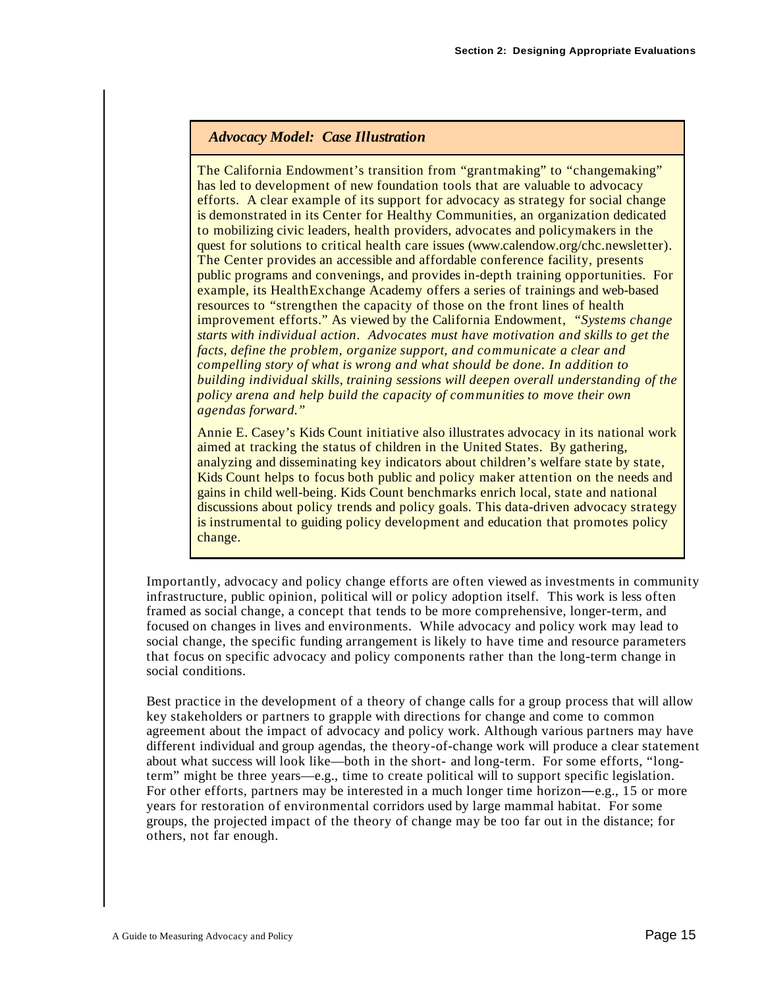#### *Advocacy Model: Case Illustration*

The California Endowment's transition from "grantmaking" to "changemaking" has led to development of new foundation tools that are valuable to advocacy efforts. A clear example of its support for advocacy as strategy for social change is demonstrated in its Center for Healthy Communities, an organization dedicated to mobilizing civic leaders, health providers, advocates and policymakers in the quest for solutions to critical health care issues (www.calendow.org/chc.newsletter). The Center provides an accessible and affordable conference facility, presents public programs and convenings, and provides in-depth training opportunities. For example, its HealthExchange Academy offers a series of trainings and web-based resources to "strengthen the capacity of those on the front lines of health improvement efforts." As viewed by the California Endowment, *"Systems change starts with individual action. Advocates must have motivation and skills to get the facts, define the problem, organize support, and communicate a clear and compelling story of what is wrong and what should be done. In addition to building individual skills, training sessions will deepen overall understanding of the policy arena and help build the capacity of communities to move their own agendas forward."*

Annie E. Casey's Kids Count initiative also illustrates advocacy in its national work aimed at tracking the status of children in the United States. By gathering, analyzing and disseminating key indicators about children's welfare state by state, Kids Count helps to focus both public and policy maker attention on the needs and gains in child well-being. Kids Count benchmarks enrich local, state and national discussions about policy trends and policy goals. This data-driven advocacy strategy is instrumental to guiding policy development and education that promotes policy change.

Importantly, advocacy and policy change efforts are often viewed as investments in community infrastructure, public opinion, political will or policy adoption itself. This work is less often framed as social change, a concept that tends to be more comprehensive, longer-term, and focused on changes in lives and environments. While advocacy and policy work may lead to social change, the specific funding arrangement is likely to have time and resource parameters that focus on specific advocacy and policy components rather than the long-term change in social conditions.

Best practice in the development of a theory of change calls for a group process that will allow key stakeholders or partners to grapple with directions for change and come to common agreement about the impact of advocacy and policy work. Although various partners may have different individual and group agendas, the theory-of-change work will produce a clear statement about what success will look like—both in the short- and long-term. For some efforts, "longterm" might be three years—e.g., time to create political will to support specific legislation. For other efforts, partners may be interested in a much longer time horizon—e.g., 15 or more years for restoration of environmental corridors used by large mammal habitat. For some groups, the projected impact of the theory of change may be too far out in the distance; for others, not far enough.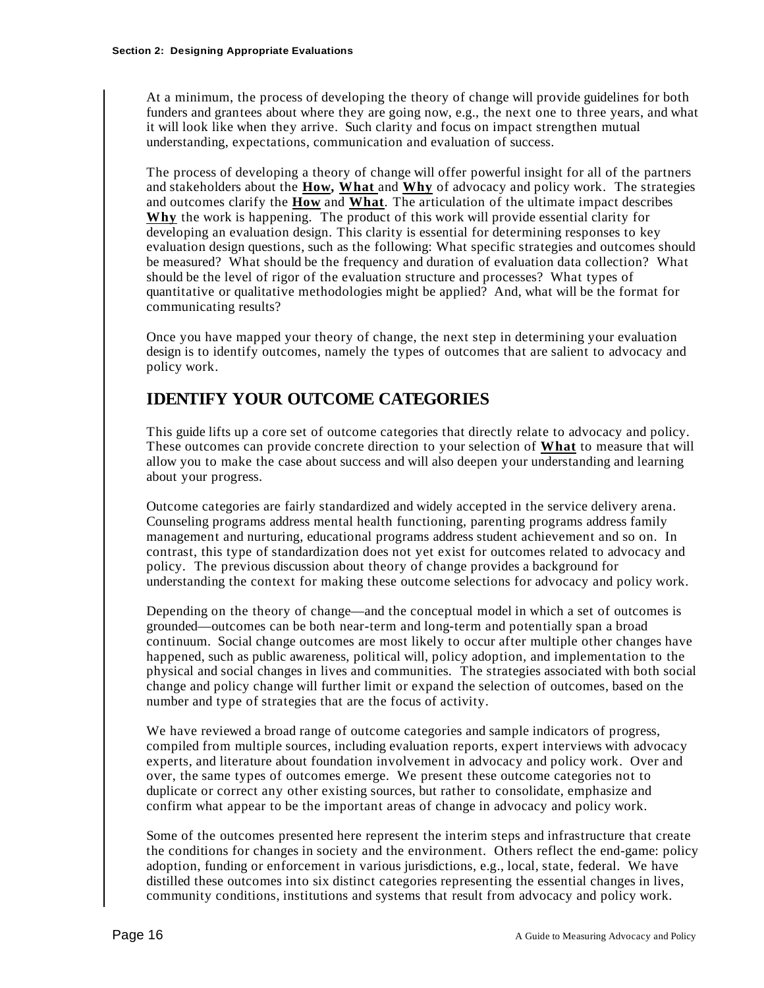At a minimum, the process of developing the theory of change will provide guidelines for both funders and grantees about where they are going now, e.g., the next one to three years, and what it will look like when they arrive. Such clarity and focus on impact strengthen mutual understanding, expectations, communication and evaluation of success.

The process of developing a theory of change will offer powerful insight for all of the partners and stakeholders about the **How, What** and **Why** of advocacy and policy work. The strategies and outcomes clarify the **How** and **What**. The articulation of the ultimate impact describes **Why** the work is happening. The product of this work will provide essential clarity for developing an evaluation design. This clarity is essential for determining responses to key evaluation design questions, such as the following: What specific strategies and outcomes should be measured? What should be the frequency and duration of evaluation data collection? What should be the level of rigor of the evaluation structure and processes? What types of quantitative or qualitative methodologies might be applied? And, what will be the format for communicating results?

Once you have mapped your theory of change, the next step in determining your evaluation design is to identify outcomes, namely the types of outcomes that are salient to advocacy and policy work.

# **IDENTIFY YOUR OUTCOME CATEGORIES**

This guide lifts up a core set of outcome categories that directly relate to advocacy and policy. These outcomes can provide concrete direction to your selection of **What** to measure that will allow you to make the case about success and will also deepen your understanding and learning about your progress.

Outcome categories are fairly standardized and widely accepted in the service delivery arena. Counseling programs address mental health functioning, parenting programs address family management and nurturing, educational programs address student achievement and so on. In contrast, this type of standardization does not yet exist for outcomes related to advocacy and policy. The previous discussion about theory of change provides a background for understanding the context for making these outcome selections for advocacy and policy work.

Depending on the theory of change—and the conceptual model in which a set of outcomes is grounded—outcomes can be both near-term and long-term and potentially span a broad continuum. Social change outcomes are most likely to occur after multiple other changes have happened, such as public awareness, political will, policy adoption, and implementation to the physical and social changes in lives and communities. The strategies associated with both social change and policy change will further limit or expand the selection of outcomes, based on the number and type of strategies that are the focus of activity.

We have reviewed a broad range of outcome categories and sample indicators of progress, compiled from multiple sources, including evaluation reports, expert interviews with advocacy experts, and literature about foundation involvement in advocacy and policy work. Over and over, the same types of outcomes emerge. We present these outcome categories not to duplicate or correct any other existing sources, but rather to consolidate, emphasize and confirm what appear to be the important areas of change in advocacy and policy work.

Some of the outcomes presented here represent the interim steps and infrastructure that create the conditions for changes in society and the environment. Others reflect the end-game: policy adoption, funding or enforcement in various jurisdictions, e.g., local, state, federal. We have distilled these outcomes into six distinct categories representing the essential changes in lives, community conditions, institutions and systems that result from advocacy and policy work.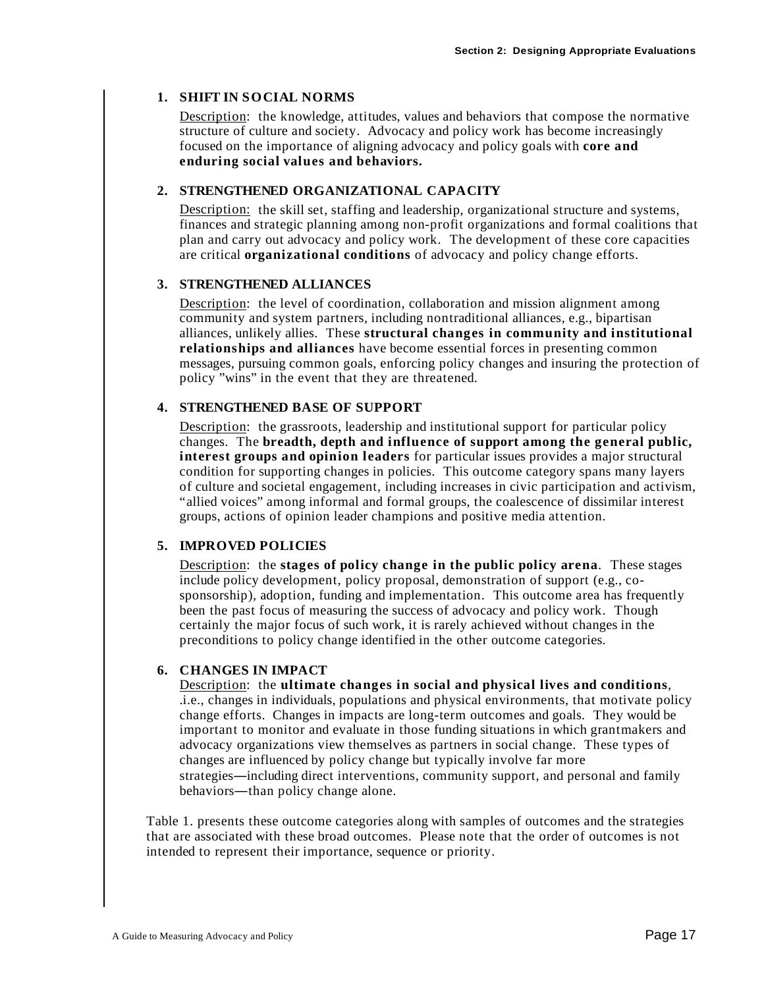#### **1. SHIFT IN SOCIAL NORMS**

Description: the knowledge, attitudes, values and behaviors that compose the normative structure of culture and society. Advocacy and policy work has become increasingly focused on the importance of aligning advocacy and policy goals with **core and enduring social values and behaviors.** 

#### **2. STRENGTHENED ORGANIZATIONAL CAPACITY**

Description: the skill set, staffing and leadership, organizational structure and systems, finances and strategic planning among non-profit organizations and formal coalitions that plan and carry out advocacy and policy work. The development of these core capacities are critical **organizational conditions** of advocacy and policy change efforts.

#### **3. STRENGTHENED ALLIANCES**

Description: the level of coordination, collaboration and mission alignment among community and system partners, including nontraditional alliances, e.g., bipartisan alliances, unlikely allies. These **structural changes in community and institutional relationships and alliances** have become essential forces in presenting common messages, pursuing common goals, enforcing policy changes and insuring the protection of policy "wins" in the event that they are threatened.

#### **4. STRENGTHENED BASE OF SUPPORT**

Description: the grassroots, leadership and institutional support for particular policy changes. The **breadth, depth and influence of support among the general public, interest groups and opinion leaders** for particular issues provides a major structural condition for supporting changes in policies. This outcome category spans many layers of culture and societal engagement, including increases in civic participation and activism, "allied voices" among informal and formal groups, the coalescence of dissimilar interest groups, actions of opinion leader champions and positive media attention.

#### **5. IMPROVED POLICIES**

Description: the **stages of policy change in the public policy arena**. These stages include policy development, policy proposal, demonstration of support (e.g., cosponsorship), adoption, funding and implementation. This outcome area has frequently been the past focus of measuring the success of advocacy and policy work. Though certainly the major focus of such work, it is rarely achieved without changes in the preconditions to policy change identified in the other outcome categories.

#### **6. CHANGES IN IMPACT**

Description: the **ultimate changes in social and physical lives and conditions**, .i.e., changes in individuals, populations and physical environments, that motivate policy change efforts. Changes in impacts are long-term outcomes and goals. They would be important to monitor and evaluate in those funding situations in which grantmakers and advocacy organizations view themselves as partners in social change. These types of changes are influenced by policy change but typically involve far more strategies—including direct interventions, community support, and personal and family behaviors—than policy change alone.

Table 1. presents these outcome categories along with samples of outcomes and the strategies that are associated with these broad outcomes. Please note that the order of outcomes is not intended to represent their importance, sequence or priority.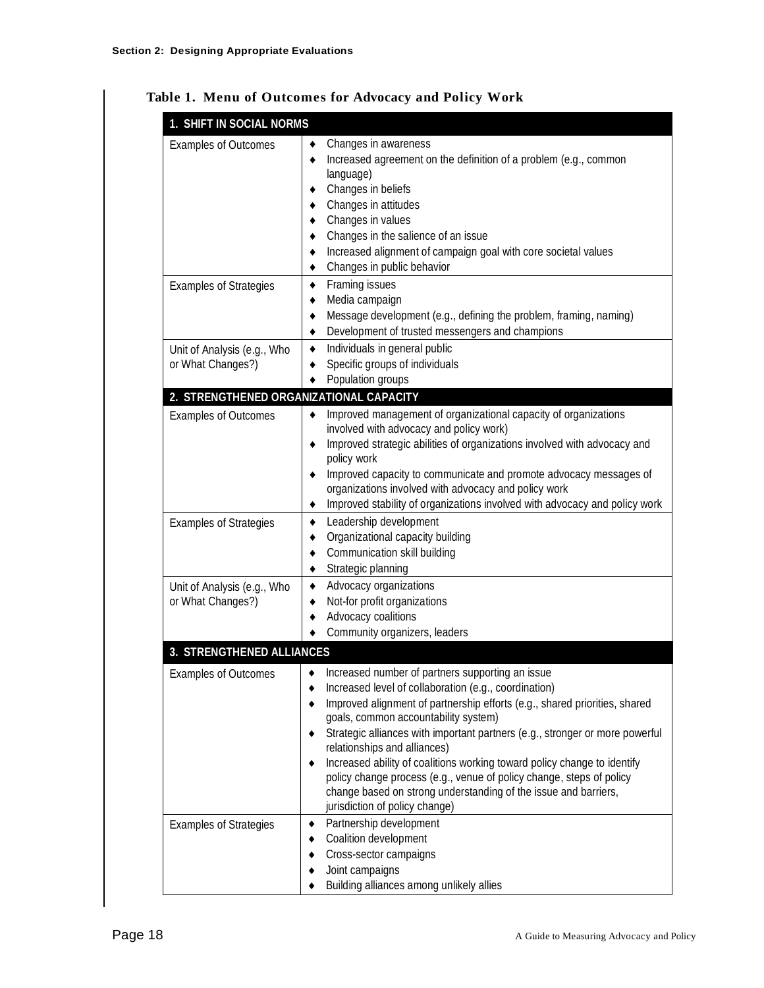| 1. SHIFT IN SOCIAL NORMS                         |                                                                                                                                                                                                                                                                                                                                                                                                                                                                                                                                                                                                          |
|--------------------------------------------------|----------------------------------------------------------------------------------------------------------------------------------------------------------------------------------------------------------------------------------------------------------------------------------------------------------------------------------------------------------------------------------------------------------------------------------------------------------------------------------------------------------------------------------------------------------------------------------------------------------|
| <b>Examples of Outcomes</b>                      | Changes in awareness<br>٠<br>Increased agreement on the definition of a problem (e.g., common<br>٠<br>language)<br>Changes in beliefs<br>٠<br>Changes in attitudes<br>٠<br>Changes in values<br>٠<br>Changes in the salience of an issue<br>٠<br>Increased alignment of campaign goal with core societal values<br>٠<br>Changes in public behavior<br>٠                                                                                                                                                                                                                                                  |
| <b>Examples of Strategies</b>                    | Framing issues<br>٠<br>Media campaign<br>٠<br>Message development (e.g., defining the problem, framing, naming)<br>٠<br>Development of trusted messengers and champions<br>٠                                                                                                                                                                                                                                                                                                                                                                                                                             |
| Unit of Analysis (e.g., Who<br>or What Changes?) | Individuals in general public<br>٠<br>Specific groups of individuals<br>٠<br>Population groups                                                                                                                                                                                                                                                                                                                                                                                                                                                                                                           |
| 2. STRENGTHENED ORGANIZATIONAL CAPACITY          |                                                                                                                                                                                                                                                                                                                                                                                                                                                                                                                                                                                                          |
| <b>Examples of Outcomes</b>                      | Improved management of organizational capacity of organizations<br>٠<br>involved with advocacy and policy work)<br>Improved strategic abilities of organizations involved with advocacy and<br>٠<br>policy work<br>Improved capacity to communicate and promote advocacy messages of<br>٠<br>organizations involved with advocacy and policy work<br>Improved stability of organizations involved with advocacy and policy work<br>٠                                                                                                                                                                     |
| <b>Examples of Strategies</b>                    | Leadership development<br>٠<br>Organizational capacity building<br>٠<br>Communication skill building<br>٠<br>Strategic planning                                                                                                                                                                                                                                                                                                                                                                                                                                                                          |
| Unit of Analysis (e.g., Who<br>or What Changes?) | Advocacy organizations<br>٠<br>Not-for profit organizations<br>٠<br>Advocacy coalitions<br>٠<br>Community organizers, leaders                                                                                                                                                                                                                                                                                                                                                                                                                                                                            |
| 3. STRENGTHENED ALLIANCES                        |                                                                                                                                                                                                                                                                                                                                                                                                                                                                                                                                                                                                          |
| Examples of Outcomes                             | Increased number of partners supporting an issue<br>Increased level of collaboration (e.g., coordination)<br>Improved alignment of partnership efforts (e.g., shared priorities, shared<br>goals, common accountability system)<br>Strategic alliances with important partners (e.g., stronger or more powerful<br>relationships and alliances)<br>Increased ability of coalitions working toward policy change to identify<br>policy change process (e.g., venue of policy change, steps of policy<br>change based on strong understanding of the issue and barriers,<br>jurisdiction of policy change) |
| <b>Examples of Strategies</b>                    | Partnership development<br>Coalition development<br>Cross-sector campaigns<br>Joint campaigns<br>Building alliances among unlikely allies                                                                                                                                                                                                                                                                                                                                                                                                                                                                |

#### **Table 1. Menu of Outcomes for Advocacy and Policy Work**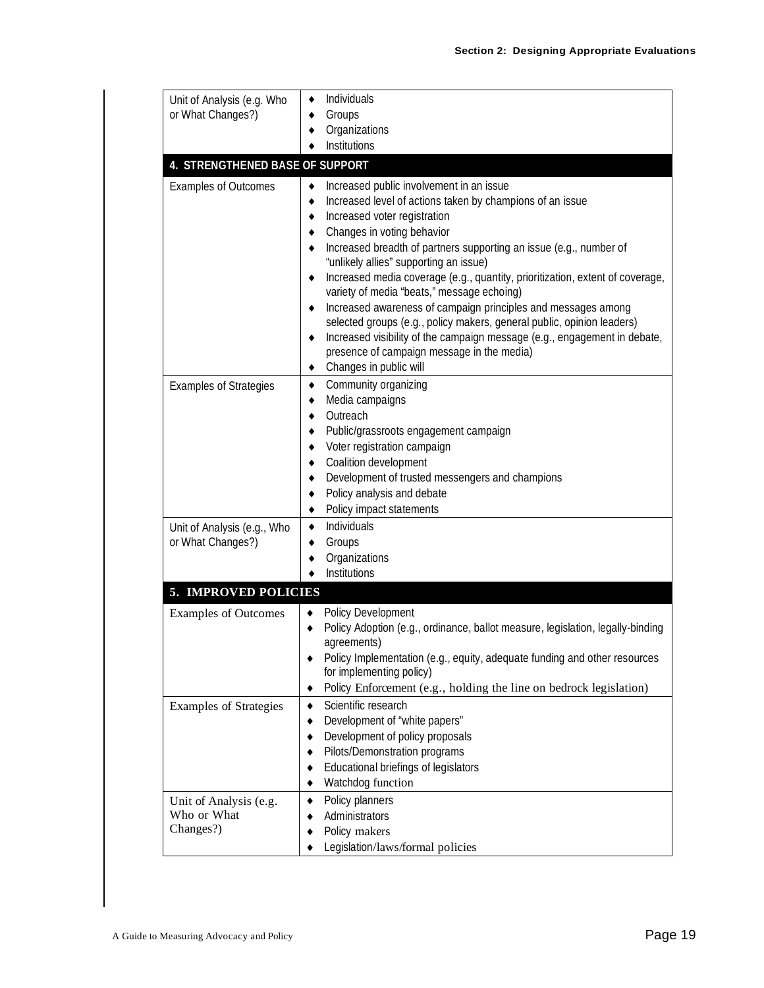| Unit of Analysis (e.g. Who<br>or What Changes?)    | Individuals<br>٠<br>Groups<br>٠<br>Organizations<br>٠                                                                                                                                                                                                                                                                                                                                                                                                                                                                                                                                                                                                                              |
|----------------------------------------------------|------------------------------------------------------------------------------------------------------------------------------------------------------------------------------------------------------------------------------------------------------------------------------------------------------------------------------------------------------------------------------------------------------------------------------------------------------------------------------------------------------------------------------------------------------------------------------------------------------------------------------------------------------------------------------------|
|                                                    | Institutions<br>٠                                                                                                                                                                                                                                                                                                                                                                                                                                                                                                                                                                                                                                                                  |
| <b>4. STRENGTHENED BASE OF SUPPORT</b>             |                                                                                                                                                                                                                                                                                                                                                                                                                                                                                                                                                                                                                                                                                    |
| <b>Examples of Outcomes</b>                        | Increased public involvement in an issue<br>٠<br>Increased level of actions taken by champions of an issue<br>٠<br>Increased voter registration<br>٠<br>Changes in voting behavior<br>٠<br>Increased breadth of partners supporting an issue (e.g., number of<br>٠<br>"unlikely allies" supporting an issue)<br>Increased media coverage (e.g., quantity, prioritization, extent of coverage,<br>٠<br>variety of media "beats," message echoing)<br>Increased awareness of campaign principles and messages among<br>٠<br>selected groups (e.g., policy makers, general public, opinion leaders)<br>Increased visibility of the campaign message (e.g., engagement in debate,<br>٠ |
|                                                    | presence of campaign message in the media)<br>Changes in public will<br>٠                                                                                                                                                                                                                                                                                                                                                                                                                                                                                                                                                                                                          |
| <b>Examples of Strategies</b>                      | Community organizing<br>٠<br>Media campaigns<br>٠<br>Outreach<br>٠<br>Public/grassroots engagement campaign<br>٠<br>Voter registration campaign<br>٠<br>Coalition development<br>٠<br>Development of trusted messengers and champions<br>٠<br>Policy analysis and debate<br>٠<br>Policy impact statements<br>٠                                                                                                                                                                                                                                                                                                                                                                     |
| Unit of Analysis (e.g., Who<br>or What Changes?)   | Individuals<br>٠<br>Groups<br>٠<br>Organizations<br>٠<br>Institutions<br>٠                                                                                                                                                                                                                                                                                                                                                                                                                                                                                                                                                                                                         |
| 5. IMPROVED POLICIES                               |                                                                                                                                                                                                                                                                                                                                                                                                                                                                                                                                                                                                                                                                                    |
| <b>Examples of Outcomes</b>                        | Policy Development<br>٠<br>Policy Adoption (e.g., ordinance, ballot measure, legislation, legally-binding<br>agreements)<br>Policy Implementation (e.g., equity, adequate funding and other resources<br>for implementing policy)<br>Policy Enforcement (e.g., holding the line on bedrock legislation)<br>٠                                                                                                                                                                                                                                                                                                                                                                       |
| <b>Examples of Strategies</b>                      | Scientific research<br>٠<br>Development of "white papers"<br>٠<br>Development of policy proposals<br>٠<br>Pilots/Demonstration programs<br>٠<br>Educational briefings of legislators<br>٠<br>Watchdog function<br>٠                                                                                                                                                                                                                                                                                                                                                                                                                                                                |
| Unit of Analysis (e.g.<br>Who or What<br>Changes?) | Policy planners<br>٠<br>Administrators<br>٠<br>Policy makers<br>Legislation/laws/formal policies                                                                                                                                                                                                                                                                                                                                                                                                                                                                                                                                                                                   |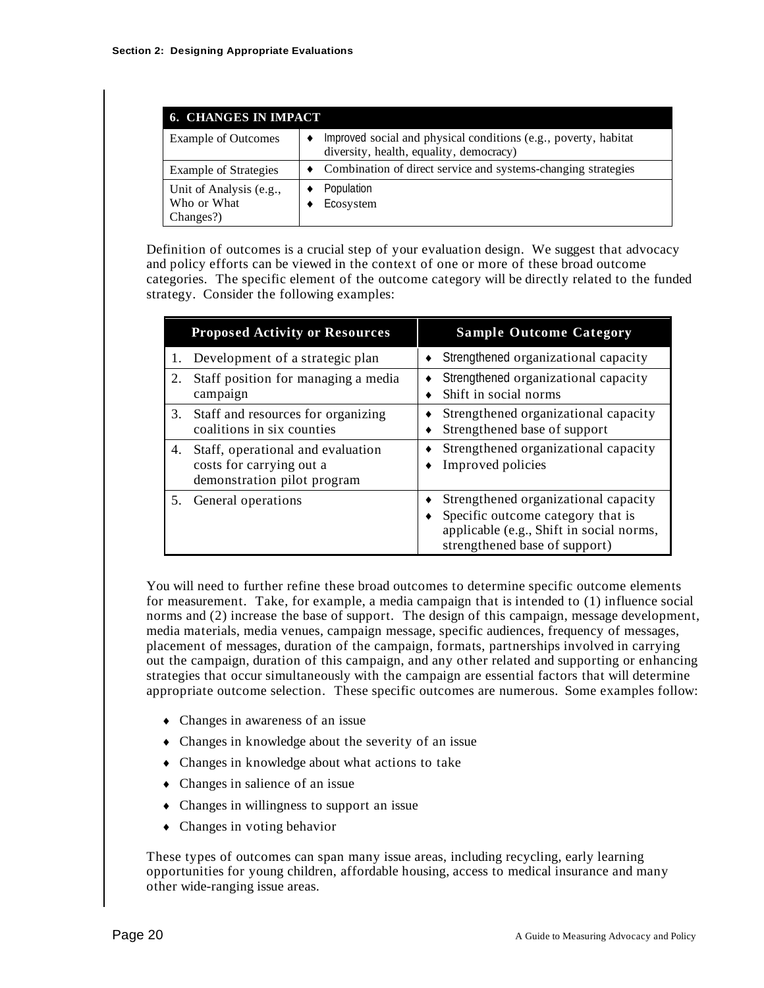| <b>6. CHANGES IN IMPACT</b>                         |                                                                                                            |  |  |
|-----------------------------------------------------|------------------------------------------------------------------------------------------------------------|--|--|
| <b>Example of Outcomes</b>                          | Improved social and physical conditions (e.g., poverty, habitat<br>diversity, health, equality, democracy) |  |  |
| <b>Example of Strategies</b>                        | • Combination of direct service and systems-changing strategies                                            |  |  |
| Unit of Analysis (e.g.,<br>Who or What<br>Changes?) | Population<br>Ecosystem                                                                                    |  |  |

Definition of outcomes is a crucial step of your evaluation design. We suggest that advocacy and policy efforts can be viewed in the context of one or more of these broad outcome categories. The specific element of the outcome category will be directly related to the funded strategy. Consider the following examples:

|    | <b>Proposed Activity or Resources</b>                                                        | <b>Sample Outcome Category</b>                                                                                                                         |
|----|----------------------------------------------------------------------------------------------|--------------------------------------------------------------------------------------------------------------------------------------------------------|
|    | Development of a strategic plan                                                              | Strengthened organizational capacity                                                                                                                   |
| 2. | Staff position for managing a media<br>campaign                                              | Strengthened organizational capacity<br>Shift in social norms                                                                                          |
| 3. | Staff and resources for organizing<br>coalitions in six counties                             | Strengthened organizational capacity<br>Strengthened base of support                                                                                   |
| 4. | Staff, operational and evaluation<br>costs for carrying out a<br>demonstration pilot program | Strengthened organizational capacity<br>Improved policies                                                                                              |
| 5. | General operations                                                                           | Strengthened organizational capacity<br>Specific outcome category that is<br>applicable (e.g., Shift in social norms,<br>strengthened base of support) |

You will need to further refine these broad outcomes to determine specific outcome elements for measurement. Take, for example, a media campaign that is intended to (1) influence social norms and (2) increase the base of support. The design of this campaign, message development, media materials, media venues, campaign message, specific audiences, frequency of messages, placement of messages, duration of the campaign, formats, partnerships involved in carrying out the campaign, duration of this campaign, and any other related and supporting or enhancing strategies that occur simultaneously with the campaign are essential factors that will determine appropriate outcome selection. These specific outcomes are numerous. Some examples follow:

- Changes in awareness of an issue
- Changes in knowledge about the severity of an issue
- Changes in knowledge about what actions to take
- Changes in salience of an issue
- Changes in willingness to support an issue
- Changes in voting behavior

These types of outcomes can span many issue areas, including recycling, early learning opportunities for young children, affordable housing, access to medical insurance and many other wide-ranging issue areas.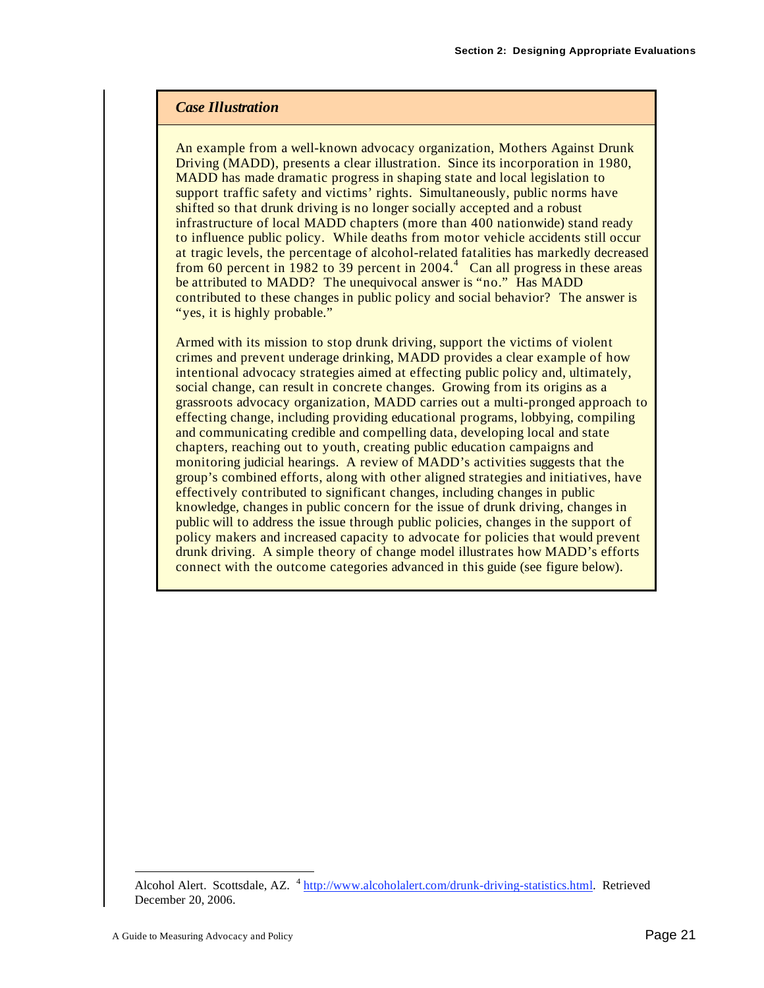#### *Case Illustration*

An example from a well-known advocacy organization, Mothers Against Drunk Driving (MADD), presents a clear illustration. Since its incorporation in 1980, MADD has made dramatic progress in shaping state and local legislation to support traffic safety and victims' rights. Simultaneously, public norms have shifted so that drunk driving is no longer socially accepted and a robust infrastructure of local MADD chapters (more than 400 nationwide) stand ready to influence public policy. While deaths from motor vehicle accidents still occur at tragic levels, the percentage of alcohol-related fatalities has markedly decreased from  $\overline{60}$  percent in 1982 to 39 percent in 2004.<sup>4</sup> Can all progress in these areas be attributed to MADD? The unequivocal answer is "no." Has MADD contributed to these changes in public policy and social behavior? The answer is "yes, it is highly probable."

Armed with its mission to stop drunk driving, support the victims of violent crimes and prevent underage drinking, MADD provides a clear example of how intentional advocacy strategies aimed at effecting public policy and, ultimately, social change, can result in concrete changes. Growing from its origins as a grassroots advocacy organization, MADD carries out a multi-pronged approach to effecting change, including providing educational programs, lobbying, compiling and communicating credible and compelling data, developing local and state chapters, reaching out to youth, creating public education campaigns and monitoring judicial hearings. A review of MADD's activities suggests that the group's combined efforts, along with other aligned strategies and initiatives, have effectively contributed to significant changes, including changes in public knowledge, changes in public concern for the issue of drunk driving, changes in public will to address the issue through public policies, changes in the support of policy makers and increased capacity to advocate for policies that would prevent drunk driving. A simple theory of change model illustrates how MADD's efforts connect with the outcome categories advanced in this guide (see figure below).

 $\overline{a}$ 

Alcohol Alert. Scottsdale, AZ. <sup>4</sup> http://www.alcoholalert.com/drunk-driving-statistics.html. Retrieved December 20, 2006.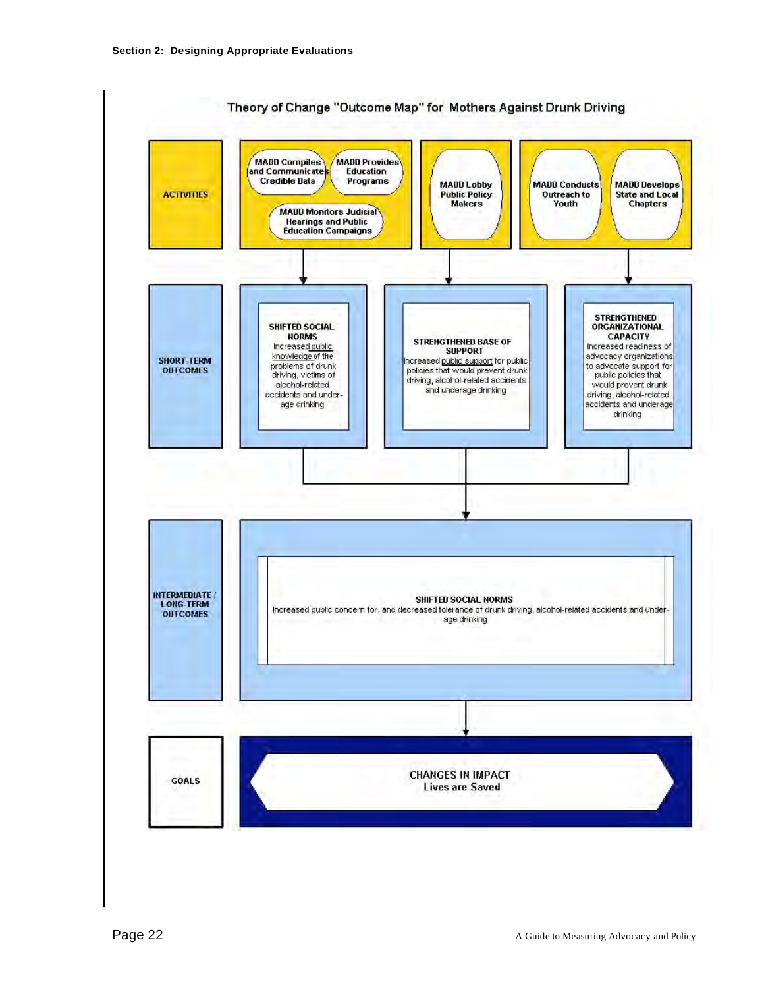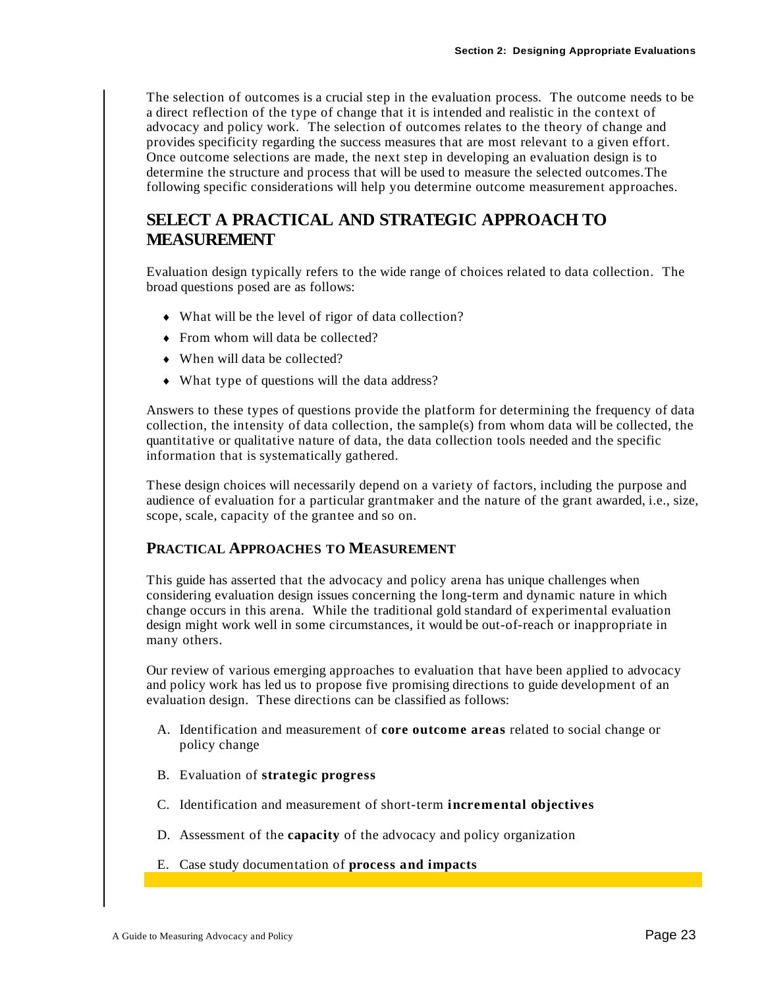The selection of outcomes is a crucial step in the evaluation process. The outcome needs to be a direct reflection of the type of change that it is intended and realistic in the context of advocacy and policy work. The selection of outcomes relates to the theory of change and provides specificity regarding the success measures that are most relevant to a given effort. Once outcome selections are made, the next step in developing an evaluation design is to determine the structure and process that will be used to measure the selected outcomes.The following specific considerations will help you determine outcome measurement approaches.

# **SELECT A PRACTICAL AND STRATEGIC APPROACH TO MEASUREMENT**

Evaluation design typically refers to the wide range of choices related to data collection. The broad questions posed are as follows:

- What will be the level of rigor of data collection?
- From whom will data be collected?
- When will data be collected?
- What type of questions will the data address?

Answers to these types of questions provide the platform for determining the frequency of data collection, the intensity of data collection, the sample(s) from whom data will be collected, the quantitative or qualitative nature of data, the data collection tools needed and the specific information that is systematically gathered.

These design choices will necessarily depend on a variety of factors, including the purpose and audience of evaluation for a particular grantmaker and the nature of the grant awarded, i.e., size, scope, scale, capacity of the grantee and so on.

#### **PRACTICAL APPROACHES TO MEASUREMENT**

This guide has asserted that the advocacy and policy arena has unique challenges when considering evaluation design issues concerning the long-term and dynamic nature in which change occurs in this arena. While the traditional gold standard of experimental evaluation design might work well in some circumstances, it would be out-of-reach or inappropriate in many others.

Our review of various emerging approaches to evaluation that have been applied to advocacy and policy work has led us to propose five promising directions to guide development of an evaluation design. These directions can be classified as follows:

- A. Identification and measurement of **core outcome areas** related to social change or policy change
- B. Evaluation of **strategic progress**
- C. Identification and measurement of short-term **incremental objectives**
- D. Assessment of the **capacity** of the advocacy and policy organization
- E. Case study documentation of **process and impacts**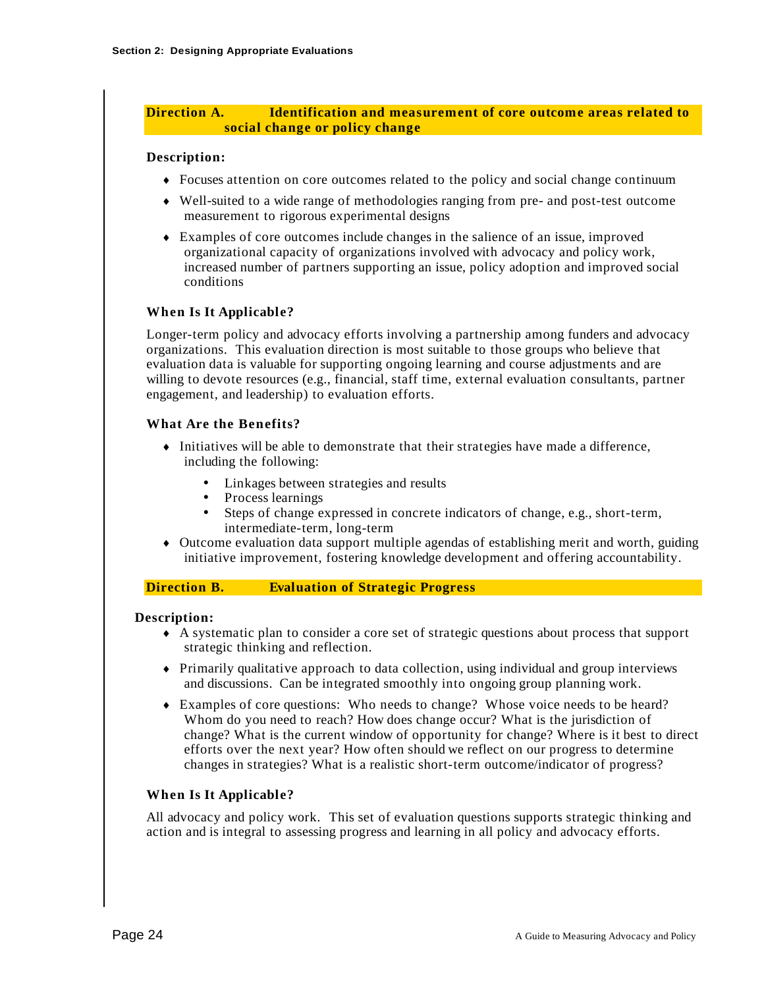#### **Direction A. Identification and measurement of core outcome areas related to social change or policy change**

#### **Description:**

- Focuses attention on core outcomes related to the policy and social change continuum
- Well-suited to a wide range of methodologies ranging from pre- and post-test outcome measurement to rigorous experimental designs
- Examples of core outcomes include changes in the salience of an issue, improved organizational capacity of organizations involved with advocacy and policy work, increased number of partners supporting an issue, policy adoption and improved social conditions

#### **When Is It Applicable?**

Longer-term policy and advocacy efforts involving a partnership among funders and advocacy organizations. This evaluation direction is most suitable to those groups who believe that evaluation data is valuable for supporting ongoing learning and course adjustments and are willing to devote resources (e.g., financial, staff time, external evaluation consultants, partner engagement, and leadership) to evaluation efforts.

#### **What Are the Benefits?**

- $\bullet$  Initiatives will be able to demonstrate that their strategies have made a difference, including the following:
	- Linkages between strategies and results
	- Process learnings
	- Steps of change expressed in concrete indicators of change, e.g., short-term, intermediate-term, long-term
- Outcome evaluation data support multiple agendas of establishing merit and worth, guiding initiative improvement, fostering knowledge development and offering accountability.

#### **Direction B. Evaluation of Strategic Progress**

#### **Description:**

- A systematic plan to consider a core set of strategic questions about process that support strategic thinking and reflection.
- Primarily qualitative approach to data collection, using individual and group interviews and discussions. Can be integrated smoothly into ongoing group planning work.
- Examples of core questions: Who needs to change? Whose voice needs to be heard? Whom do you need to reach? How does change occur? What is the jurisdiction of change? What is the current window of opportunity for change? Where is it best to direct efforts over the next year? How often should we reflect on our progress to determine changes in strategies? What is a realistic short-term outcome/indicator of progress?

#### **When Is It Applicable?**

All advocacy and policy work. This set of evaluation questions supports strategic thinking and action and is integral to assessing progress and learning in all policy and advocacy efforts.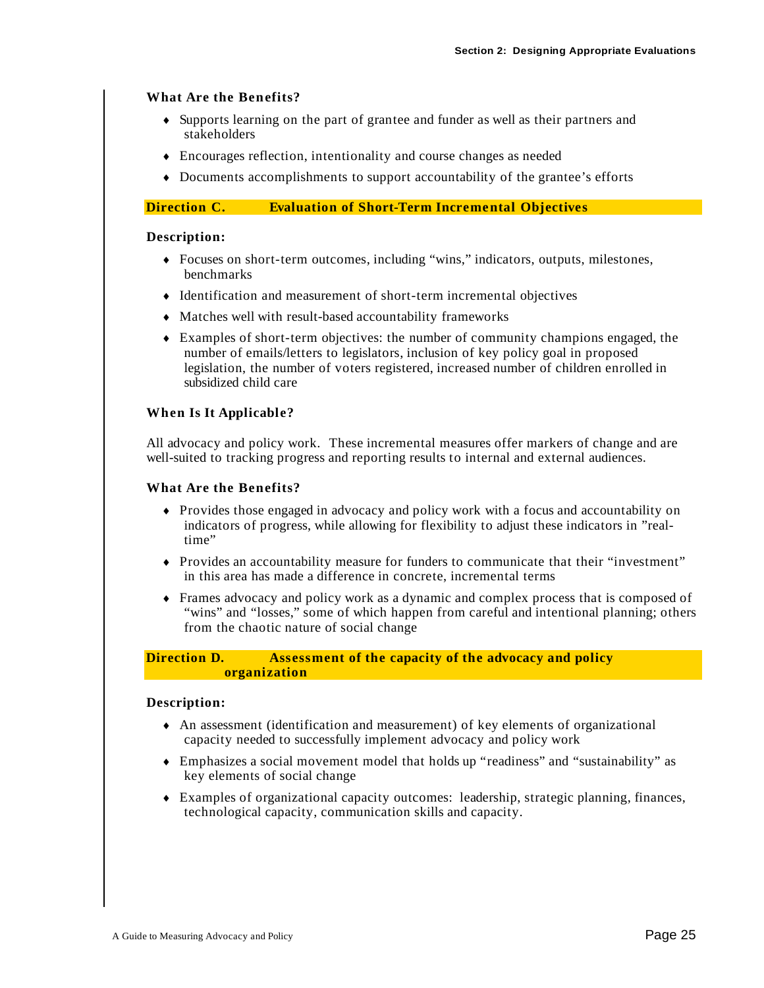#### **What Are the Benefits?**

- Supports learning on the part of grantee and funder as well as their partners and stakeholders
- Encourages reflection, intentionality and course changes as needed
- Documents accomplishments to support accountability of the grantee's efforts

#### **Direction C. Evaluation of Short-Term Incremental Objectives**

#### **Description:**

- Focuses on short-term outcomes, including "wins," indicators, outputs, milestones, benchmarks
- Identification and measurement of short-term incremental objectives
- Matches well with result-based accountability frameworks
- Examples of short-term objectives: the number of community champions engaged, the number of emails/letters to legislators, inclusion of key policy goal in proposed legislation, the number of voters registered, increased number of children enrolled in subsidized child care

#### **When Is It Applicable?**

All advocacy and policy work. These incremental measures offer markers of change and are well-suited to tracking progress and reporting results to internal and external audiences.

#### **What Are the Benefits?**

- Provides those engaged in advocacy and policy work with a focus and accountability on indicators of progress, while allowing for flexibility to adjust these indicators in "realtime"
- Provides an accountability measure for funders to communicate that their "investment" in this area has made a difference in concrete, incremental terms
- Frames advocacy and policy work as a dynamic and complex process that is composed of "wins" and "losses," some of which happen from careful and intentional planning; others from the chaotic nature of social change

#### **Direction D. Assessment of the capacity of the advocacy and policy organization**

#### **Description:**

- An assessment (identification and measurement) of key elements of organizational capacity needed to successfully implement advocacy and policy work
- Emphasizes a social movement model that holds up "readiness" and "sustainability" as key elements of social change
- Examples of organizational capacity outcomes: leadership, strategic planning, finances, technological capacity, communication skills and capacity.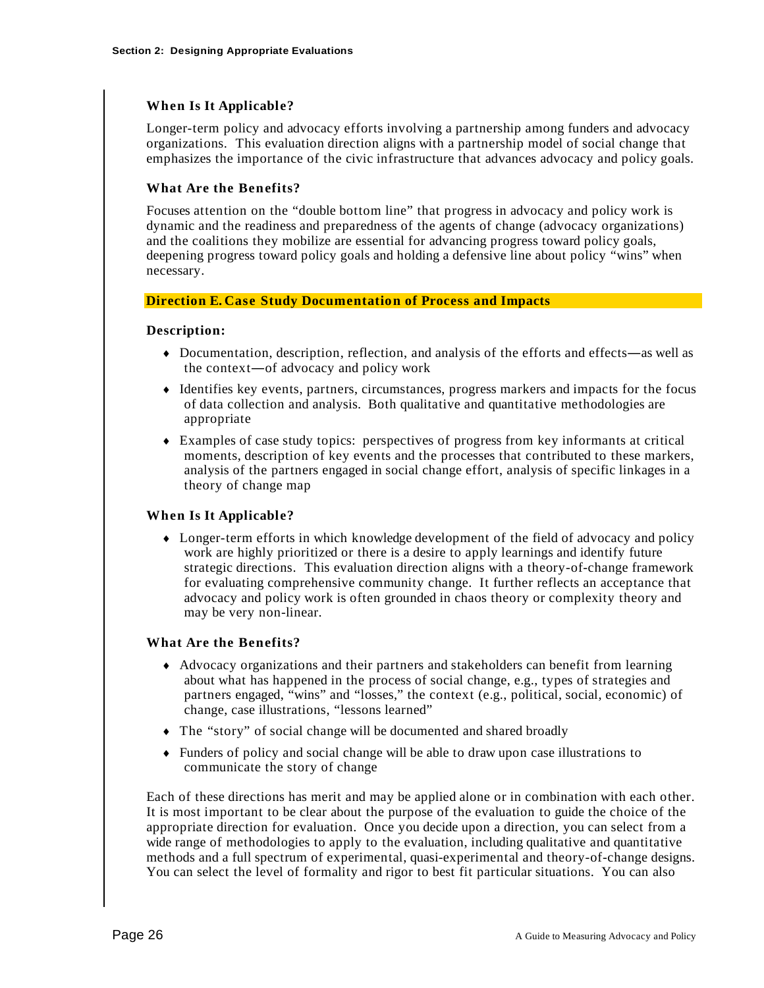#### **When Is It Applicable?**

Longer-term policy and advocacy efforts involving a partnership among funders and advocacy organizations. This evaluation direction aligns with a partnership model of social change that emphasizes the importance of the civic infrastructure that advances advocacy and policy goals.

#### **What Are the Benefits?**

Focuses attention on the "double bottom line" that progress in advocacy and policy work is dynamic and the readiness and preparedness of the agents of change (advocacy organizations) and the coalitions they mobilize are essential for advancing progress toward policy goals, deepening progress toward policy goals and holding a defensive line about policy "wins" when necessary.

#### **Direction E. Case Study Documentation of Process and Impacts**

#### **Description:**

- $\bullet$  Documentation, description, reflection, and analysis of the efforts and effects—as well as the context $\sim$  of advocacy and policy work
- Identifies key events, partners, circumstances, progress markers and impacts for the focus of data collection and analysis. Both qualitative and quantitative methodologies are appropriate
- Examples of case study topics: perspectives of progress from key informants at critical moments, description of key events and the processes that contributed to these markers, analysis of the partners engaged in social change effort, analysis of specific linkages in a theory of change map

#### **When Is It Applicable?**

 Longer-term efforts in which knowledge development of the field of advocacy and policy work are highly prioritized or there is a desire to apply learnings and identify future strategic directions. This evaluation direction aligns with a theory-of-change framework for evaluating comprehensive community change. It further reflects an acceptance that advocacy and policy work is often grounded in chaos theory or complexity theory and may be very non-linear.

#### **What Are the Benefits?**

- Advocacy organizations and their partners and stakeholders can benefit from learning about what has happened in the process of social change, e.g., types of strategies and partners engaged, "wins" and "losses," the context (e.g., political, social, economic) of change, case illustrations, "lessons learned"
- The "story" of social change will be documented and shared broadly
- Funders of policy and social change will be able to draw upon case illustrations to communicate the story of change

Each of these directions has merit and may be applied alone or in combination with each other. It is most important to be clear about the purpose of the evaluation to guide the choice of the appropriate direction for evaluation. Once you decide upon a direction, you can select from a wide range of methodologies to apply to the evaluation, including qualitative and quantitative methods and a full spectrum of experimental, quasi-experimental and theory-of-change designs. You can select the level of formality and rigor to best fit particular situations. You can also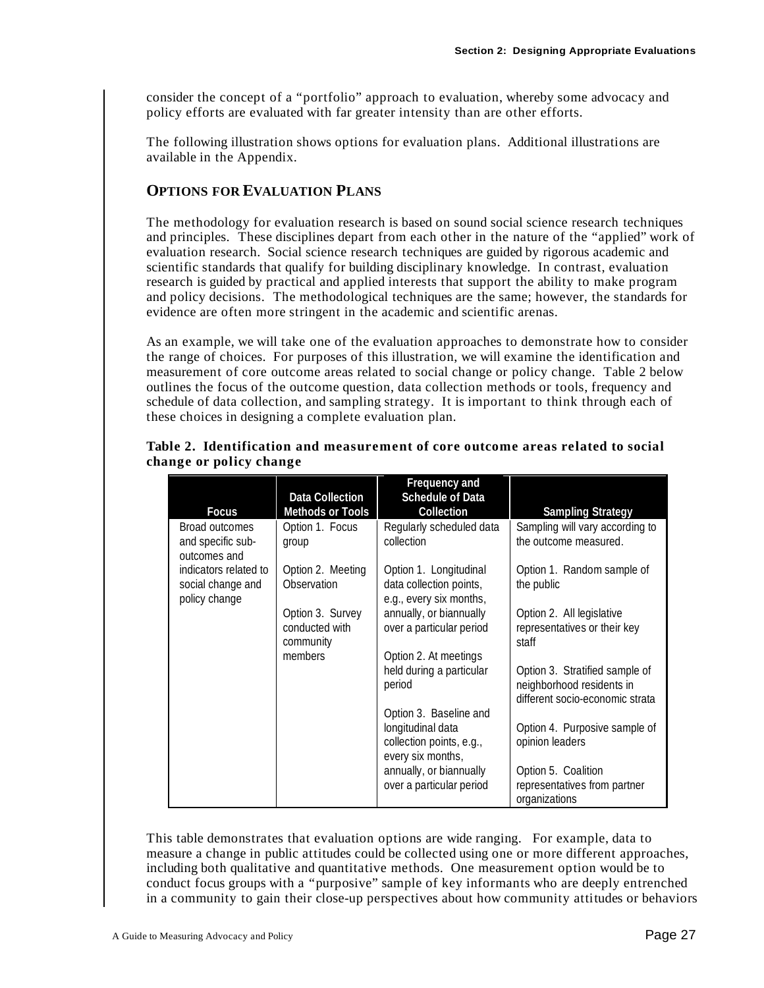consider the concept of a "portfolio" approach to evaluation, whereby some advocacy and policy efforts are evaluated with far greater intensity than are other efforts.

The following illustration shows options for evaluation plans. Additional illustrations are available in the Appendix.

#### **OPTIONS FOR EVALUATION PLANS**

The methodology for evaluation research is based on sound social science research techniques and principles. These disciplines depart from each other in the nature of the "applied" work of evaluation research. Social science research techniques are guided by rigorous academic and scientific standards that qualify for building disciplinary knowledge. In contrast, evaluation research is guided by practical and applied interests that support the ability to make program and policy decisions. The methodological techniques are the same; however, the standards for evidence are often more stringent in the academic and scientific arenas.

As an example, we will take one of the evaluation approaches to demonstrate how to consider the range of choices. For purposes of this illustration, we will examine the identification and measurement of core outcome areas related to social change or policy change. Table 2 below outlines the focus of the outcome question, data collection methods or tools, frequency and schedule of data collection, and sampling strategy. It is important to think through each of these choices in designing a complete evaluation plan.

| <b>Focus</b>                                                | <b>Data Collection</b><br><b>Methods or Tools</b> | Frequency and<br><b>Schedule of Data</b><br>Collection                                | <b>Sampling Strategy</b>                                                                       |
|-------------------------------------------------------------|---------------------------------------------------|---------------------------------------------------------------------------------------|------------------------------------------------------------------------------------------------|
| Broad outcomes<br>and specific sub-<br>outcomes and         | Option 1. Focus<br>group                          | Regularly scheduled data<br>collection                                                | Sampling will vary according to<br>the outcome measured.                                       |
| indicators related to<br>social change and<br>policy change | Option 2. Meeting<br>Observation                  | Option 1. Longitudinal<br>data collection points,<br>e.g., every six months,          | Option 1. Random sample of<br>the public                                                       |
|                                                             | Option 3. Survey<br>conducted with<br>community   | annually, or biannually<br>over a particular period                                   | Option 2. All legislative<br>representatives or their key<br>staff                             |
|                                                             | members                                           | Option 2. At meetings<br>held during a particular<br>period<br>Option 3. Baseline and | Option 3. Stratified sample of<br>neighborhood residents in<br>different socio-economic strata |
|                                                             |                                                   | longitudinal data<br>collection points, e.g.,<br>every six months,                    | Option 4. Purposive sample of<br>opinion leaders                                               |
|                                                             |                                                   | annually, or biannually<br>over a particular period                                   | Option 5. Coalition<br>representatives from partner<br>organizations                           |

#### **Table 2. Identification and measurement of core outcome areas related to social change or policy change**

This table demonstrates that evaluation options are wide ranging. For example, data to measure a change in public attitudes could be collected using one or more different approaches, including both qualitative and quantitative methods. One measurement option would be to conduct focus groups with a "purposive" sample of key informants who are deeply entrenched in a community to gain their close-up perspectives about how community attitudes or behaviors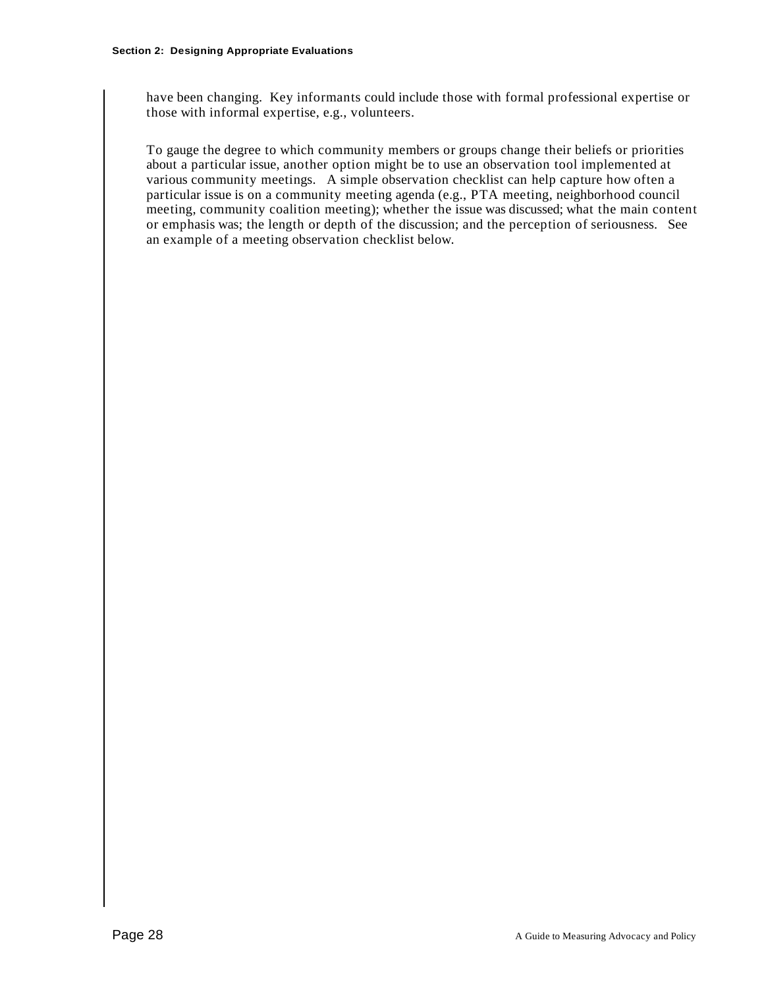have been changing. Key informants could include those with formal professional expertise or those with informal expertise, e.g., volunteers.

To gauge the degree to which community members or groups change their beliefs or priorities about a particular issue, another option might be to use an observation tool implemented at various community meetings. A simple observation checklist can help capture how often a particular issue is on a community meeting agenda (e.g., PTA meeting, neighborhood council meeting, community coalition meeting); whether the issue was discussed; what the main content or emphasis was; the length or depth of the discussion; and the perception of seriousness. See an example of a meeting observation checklist below.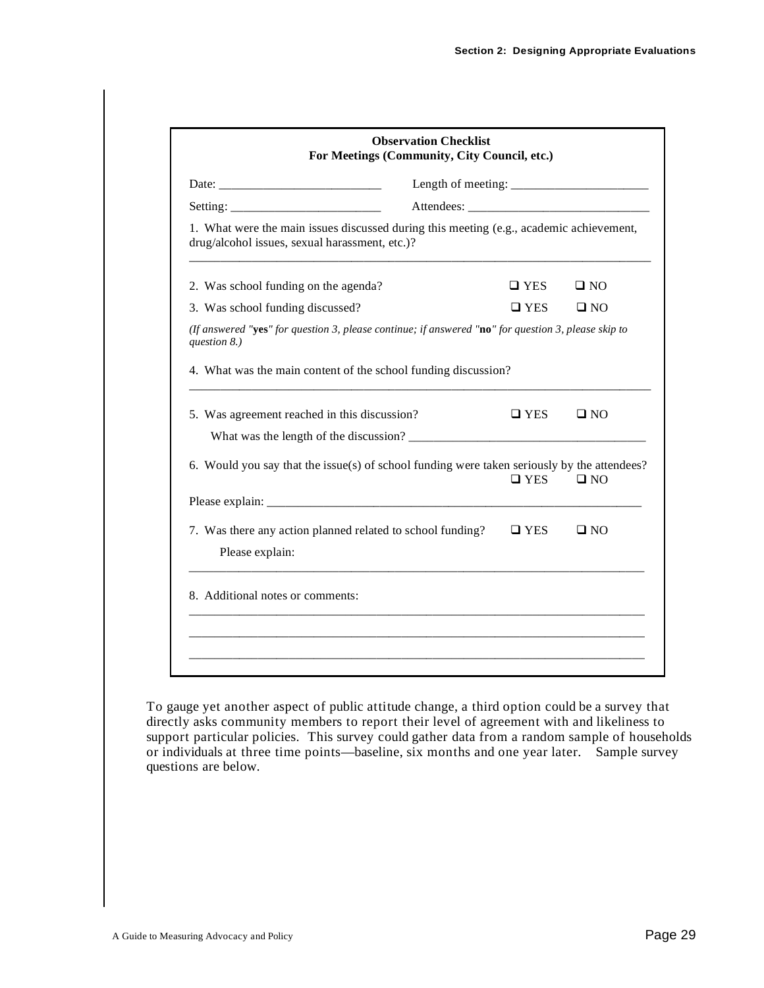|                                                                                                                                           | <b>Observation Checklist</b><br>For Meetings (Community, City Council, etc.) |               |              |
|-------------------------------------------------------------------------------------------------------------------------------------------|------------------------------------------------------------------------------|---------------|--------------|
| Date: $\frac{1}{2}$                                                                                                                       |                                                                              |               |              |
|                                                                                                                                           |                                                                              |               |              |
| 1. What were the main issues discussed during this meeting (e.g., academic achievement,<br>drug/alcohol issues, sexual harassment, etc.)? |                                                                              |               |              |
| 2. Was school funding on the agenda?                                                                                                      |                                                                              | $\square$ YES | $\square$ NO |
| 3. Was school funding discussed?                                                                                                          |                                                                              | $\square$ YES | $\square$ NO |
| (If answered "yes" for question 3, please continue; if answered "no" for question 3, please skip to<br>question 8.)                       |                                                                              |               |              |
| 4. What was the main content of the school funding discussion?                                                                            |                                                                              |               |              |
| 5. Was agreement reached in this discussion?                                                                                              |                                                                              | $\square$ YES | $\square$ NO |
|                                                                                                                                           |                                                                              |               |              |
| 6. Would you say that the issue(s) of school funding were taken seriously by the attendees?                                               |                                                                              | $\square$ YES | $\square$ NO |
|                                                                                                                                           |                                                                              |               |              |
| 7. Was there any action planned related to school funding?<br>Please explain:                                                             |                                                                              | $\Box$ YES    | $\square$ NO |
| 8. Additional notes or comments:                                                                                                          |                                                                              |               |              |
|                                                                                                                                           |                                                                              |               |              |
|                                                                                                                                           |                                                                              |               |              |

To gauge yet another aspect of public attitude change, a third option could be a survey that directly asks community members to report their level of agreement with and likeliness to support particular policies. This survey could gather data from a random sample of households or individuals at three time points—baseline, six months and one year later. Sample survey questions are below.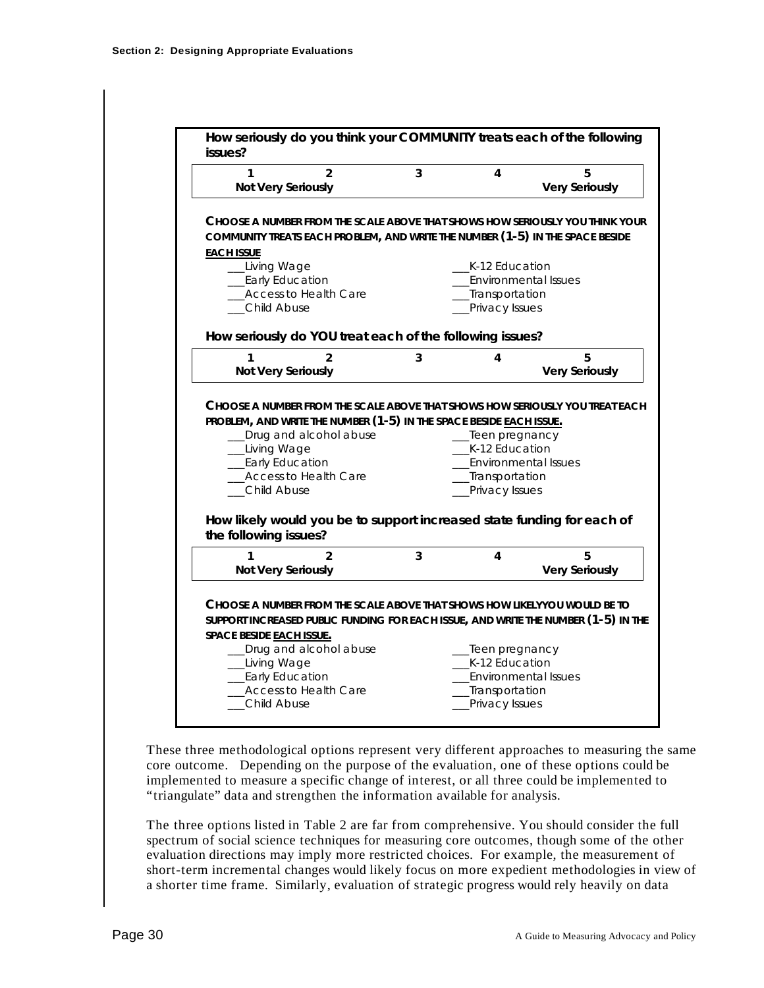| 3 | _K-12 Education<br>Environmental Issues<br>_Transportation<br>_Privacy Issues<br>How seriously do YOU treat each of the following issues?<br>4<br>PROBLEM, AND WRITE THE NUMBER (1-5) IN THE SPACE BESIDE EACH ISSUE.<br>__Teen pregnancy<br>K-12 Education<br>Environmental Issues<br>__Transportation<br>Privacy Issues | <b>Very Seriously</b><br>CHOOSE A NUMBER FROM THE SCALE ABOVE THAT SHOWS HOW SERIOUSLY YOU THINK YOUR<br>COMMUNITY TREATS EACH PROBLEM, AND WRITE THE NUMBER (1-5) IN THE SPACE BESIDE<br>5<br><b>Very Seriously</b><br>CHOOSE A NUMBER FROM THE SCALE ABOVE THAT SHOWS HOW SERIOUSLY YOU TREAT EACH |
|---|---------------------------------------------------------------------------------------------------------------------------------------------------------------------------------------------------------------------------------------------------------------------------------------------------------------------------|------------------------------------------------------------------------------------------------------------------------------------------------------------------------------------------------------------------------------------------------------------------------------------------------------|
|   |                                                                                                                                                                                                                                                                                                                           |                                                                                                                                                                                                                                                                                                      |
|   |                                                                                                                                                                                                                                                                                                                           |                                                                                                                                                                                                                                                                                                      |
|   |                                                                                                                                                                                                                                                                                                                           |                                                                                                                                                                                                                                                                                                      |
|   |                                                                                                                                                                                                                                                                                                                           |                                                                                                                                                                                                                                                                                                      |
|   |                                                                                                                                                                                                                                                                                                                           |                                                                                                                                                                                                                                                                                                      |
|   |                                                                                                                                                                                                                                                                                                                           |                                                                                                                                                                                                                                                                                                      |
|   |                                                                                                                                                                                                                                                                                                                           |                                                                                                                                                                                                                                                                                                      |
|   |                                                                                                                                                                                                                                                                                                                           |                                                                                                                                                                                                                                                                                                      |
|   |                                                                                                                                                                                                                                                                                                                           |                                                                                                                                                                                                                                                                                                      |
|   |                                                                                                                                                                                                                                                                                                                           |                                                                                                                                                                                                                                                                                                      |
|   |                                                                                                                                                                                                                                                                                                                           |                                                                                                                                                                                                                                                                                                      |
|   |                                                                                                                                                                                                                                                                                                                           |                                                                                                                                                                                                                                                                                                      |
|   |                                                                                                                                                                                                                                                                                                                           |                                                                                                                                                                                                                                                                                                      |
|   |                                                                                                                                                                                                                                                                                                                           | How likely would you be to support increased state funding for each of                                                                                                                                                                                                                               |
| 3 | 4                                                                                                                                                                                                                                                                                                                         | 5                                                                                                                                                                                                                                                                                                    |
|   |                                                                                                                                                                                                                                                                                                                           | <b>Very Seriously</b>                                                                                                                                                                                                                                                                                |
|   |                                                                                                                                                                                                                                                                                                                           |                                                                                                                                                                                                                                                                                                      |
|   |                                                                                                                                                                                                                                                                                                                           |                                                                                                                                                                                                                                                                                                      |
|   |                                                                                                                                                                                                                                                                                                                           |                                                                                                                                                                                                                                                                                                      |
|   |                                                                                                                                                                                                                                                                                                                           |                                                                                                                                                                                                                                                                                                      |
|   | K-12 Education                                                                                                                                                                                                                                                                                                            |                                                                                                                                                                                                                                                                                                      |
|   | <b>Environmental Issues</b>                                                                                                                                                                                                                                                                                               |                                                                                                                                                                                                                                                                                                      |
|   |                                                                                                                                                                                                                                                                                                                           |                                                                                                                                                                                                                                                                                                      |
|   |                                                                                                                                                                                                                                                                                                                           | Choose a number from the scale above that shows how likelyyou would be to<br>SUPPORT INCREASED PUBLIC FUNDING FOR EACH ISSUE, AND WRITE THE NUMBER (1-5) IN THE<br>__Teen pregnancy<br>__Transportation<br>Privacy Issues                                                                            |

These three methodological options represent very different approaches to measuring the same core outcome. Depending on the purpose of the evaluation, one of these options could be implemented to measure a specific change of interest, or all three could be implemented to "triangulate" data and strengthen the information available for analysis.

The three options listed in Table 2 are far from comprehensive. You should consider the full spectrum of social science techniques for measuring core outcomes, though some of the other evaluation directions may imply more restricted choices. For example, the measurement of short-term incremental changes would likely focus on more expedient methodologies in view of a shorter time frame. Similarly, evaluation of strategic progress would rely heavily on data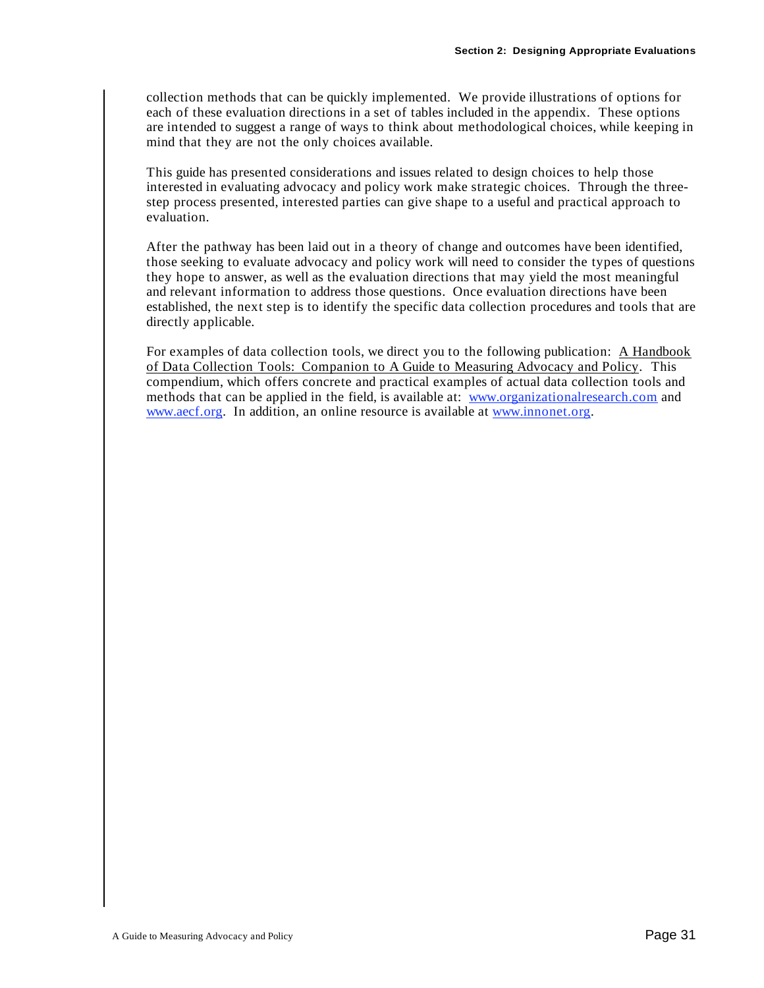collection methods that can be quickly implemented. We provide illustrations of options for each of these evaluation directions in a set of tables included in the appendix. These options are intended to suggest a range of ways to think about methodological choices, while keeping in mind that they are not the only choices available.

This guide has presented considerations and issues related to design choices to help those interested in evaluating advocacy and policy work make strategic choices. Through the threestep process presented, interested parties can give shape to a useful and practical approach to evaluation.

After the pathway has been laid out in a theory of change and outcomes have been identified, those seeking to evaluate advocacy and policy work will need to consider the types of questions they hope to answer, as well as the evaluation directions that may yield the most meaningful and relevant information to address those questions. Once evaluation directions have been established, the next step is to identify the specific data collection procedures and tools that are directly applicable.

For examples of data collection tools, we direct you to the following publication: A Handbook of Data Collection Tools: Companion to A Guide to Measuring Advocacy and Policy. This compendium, which offers concrete and practical examples of actual data collection tools and methods that can be applied in the field, is available at: www.organizationalresearch.com and www.aecf.org. In addition, an online resource is available at www.innonet.org.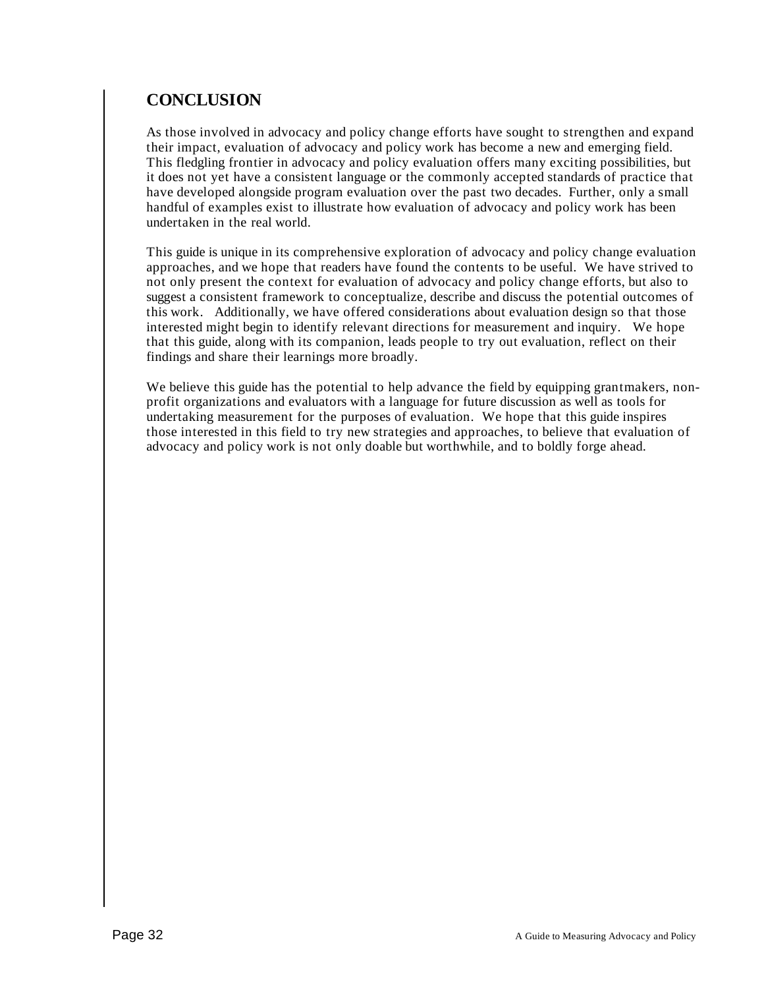# **CONCLUSION**

As those involved in advocacy and policy change efforts have sought to strengthen and expand their impact, evaluation of advocacy and policy work has become a new and emerging field. This fledgling frontier in advocacy and policy evaluation offers many exciting possibilities, but it does not yet have a consistent language or the commonly accepted standards of practice that have developed alongside program evaluation over the past two decades. Further, only a small handful of examples exist to illustrate how evaluation of advocacy and policy work has been undertaken in the real world.

This guide is unique in its comprehensive exploration of advocacy and policy change evaluation approaches, and we hope that readers have found the contents to be useful. We have strived to not only present the context for evaluation of advocacy and policy change efforts, but also to suggest a consistent framework to conceptualize, describe and discuss the potential outcomes of this work. Additionally, we have offered considerations about evaluation design so that those interested might begin to identify relevant directions for measurement and inquiry. We hope that this guide, along with its companion, leads people to try out evaluation, reflect on their findings and share their learnings more broadly.

We believe this guide has the potential to help advance the field by equipping grantmakers, nonprofit organizations and evaluators with a language for future discussion as well as tools for undertaking measurement for the purposes of evaluation. We hope that this guide inspires those interested in this field to try new strategies and approaches, to believe that evaluation of advocacy and policy work is not only doable but worthwhile, and to boldly forge ahead.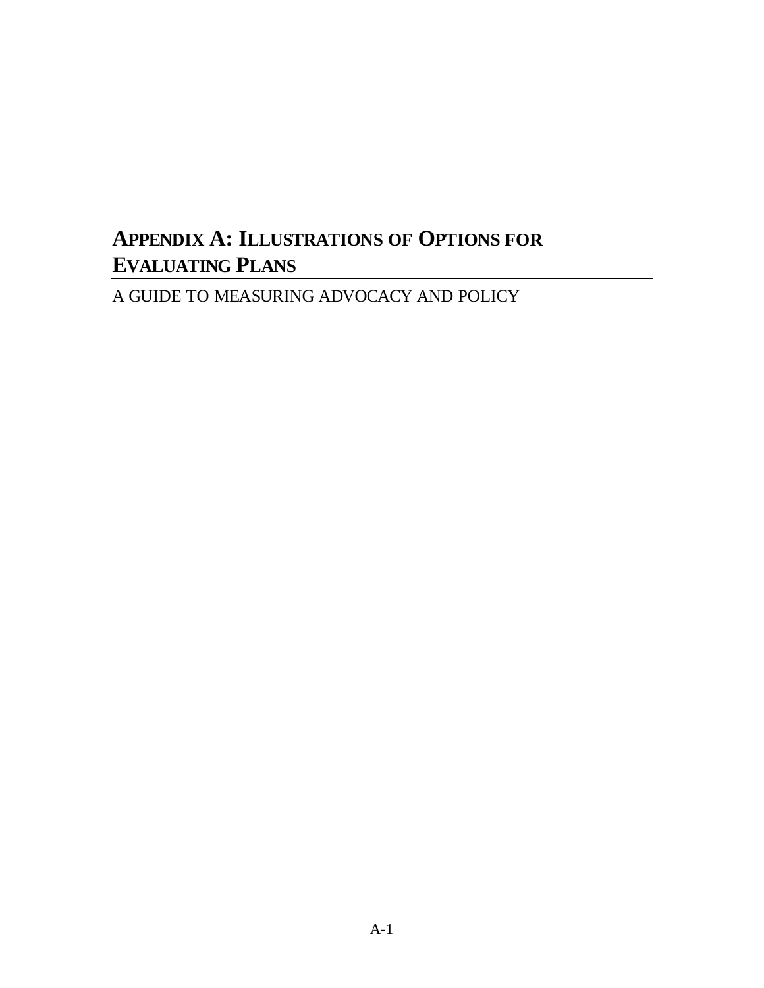# **APPENDIX A: ILLUSTRATIONS OF OPTIONS FOR EVALUATING PLANS**

A GUIDE TO MEASURING ADVOCACY AND POLICY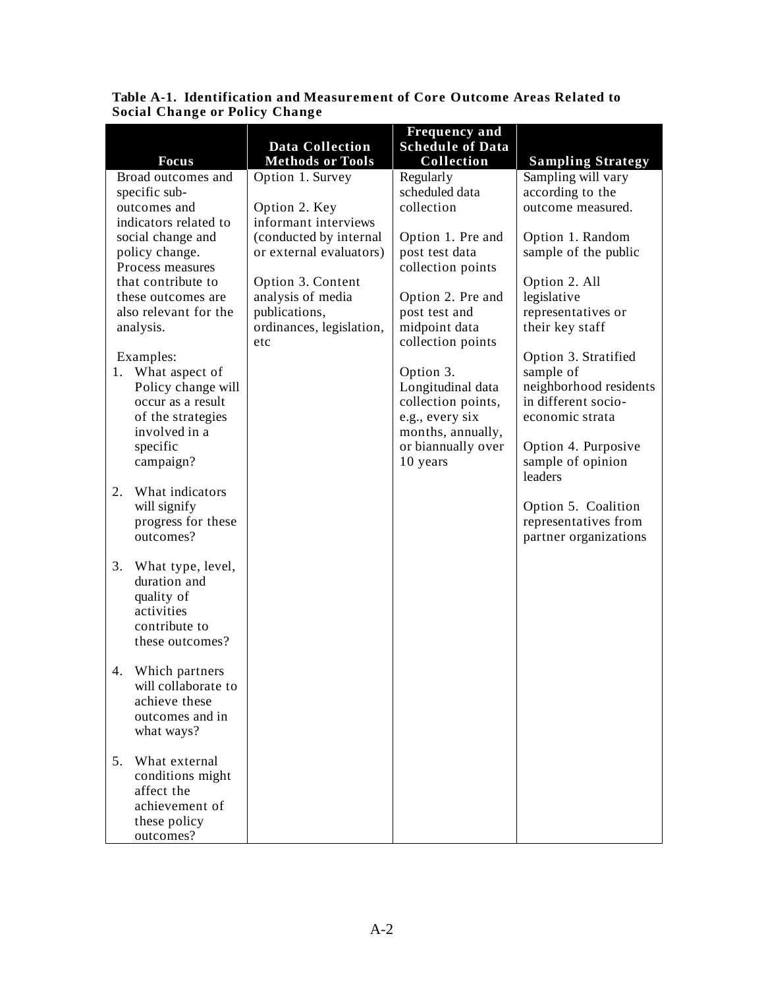|                                          |                                                   | <b>Frequency and</b>                    |                                                |
|------------------------------------------|---------------------------------------------------|-----------------------------------------|------------------------------------------------|
| <b>Focus</b>                             | <b>Data Collection</b><br><b>Methods or Tools</b> | <b>Schedule of Data</b><br>Collection   |                                                |
| Broad outcomes and                       | Option 1. Survey                                  | Regularly                               | <b>Sampling Strategy</b><br>Sampling will vary |
| specific sub-                            |                                                   | scheduled data                          | according to the                               |
| outcomes and                             | Option 2. Key                                     | collection                              | outcome measured.                              |
| indicators related to                    | informant interviews                              |                                         |                                                |
| social change and                        | (conducted by internal                            | Option 1. Pre and                       | Option 1. Random                               |
| policy change.                           | or external evaluators)                           | post test data                          | sample of the public                           |
| Process measures                         |                                                   | collection points                       |                                                |
| that contribute to<br>these outcomes are | Option 3. Content<br>analysis of media            |                                         | Option 2. All<br>legislative                   |
| also relevant for the                    | publications,                                     | Option 2. Pre and<br>post test and      | representatives or                             |
| analysis.                                | ordinances, legislation,                          | midpoint data                           | their key staff                                |
|                                          | etc                                               | collection points                       |                                                |
| Examples:                                |                                                   |                                         | Option 3. Stratified                           |
| What aspect of<br>1.                     |                                                   | Option 3.                               | sample of                                      |
| Policy change will                       |                                                   | Longitudinal data                       | neighborhood residents                         |
| occur as a result                        |                                                   | collection points,                      | in different socio-                            |
| of the strategies<br>involved in a       |                                                   | e.g., every six                         | economic strata                                |
| specific                                 |                                                   | months, annually,<br>or biannually over | Option 4. Purposive                            |
| campaign?                                |                                                   | 10 years                                | sample of opinion                              |
|                                          |                                                   |                                         | leaders                                        |
| 2.<br>What indicators                    |                                                   |                                         |                                                |
| will signify                             |                                                   |                                         | Option 5. Coalition                            |
| progress for these                       |                                                   |                                         | representatives from                           |
| outcomes?                                |                                                   |                                         | partner organizations                          |
| 3.                                       |                                                   |                                         |                                                |
| What type, level,<br>duration and        |                                                   |                                         |                                                |
| quality of                               |                                                   |                                         |                                                |
| activities                               |                                                   |                                         |                                                |
| contribute to                            |                                                   |                                         |                                                |
| these outcomes?                          |                                                   |                                         |                                                |
|                                          |                                                   |                                         |                                                |
| 4. Which partners                        |                                                   |                                         |                                                |
| will collaborate to<br>achieve these     |                                                   |                                         |                                                |
| outcomes and in                          |                                                   |                                         |                                                |
| what ways?                               |                                                   |                                         |                                                |
|                                          |                                                   |                                         |                                                |
| What external<br>5.                      |                                                   |                                         |                                                |
| conditions might                         |                                                   |                                         |                                                |
| affect the                               |                                                   |                                         |                                                |
| achievement of                           |                                                   |                                         |                                                |
| these policy                             |                                                   |                                         |                                                |
| outcomes?                                |                                                   |                                         |                                                |

**Table A-1. Identification and Measurement of Core Outcome Areas Related to Social Change or Policy Change**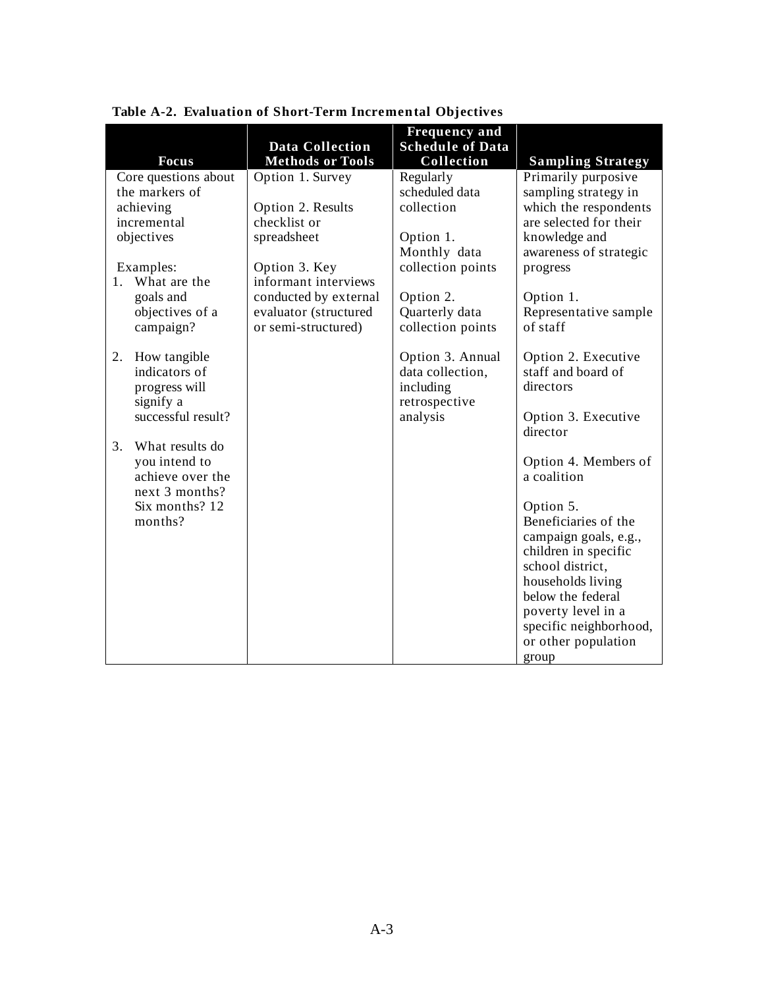|             |                               | <b>Data Collection</b>  | <b>Frequency and</b><br><b>Schedule of Data</b> |                                           |
|-------------|-------------------------------|-------------------------|-------------------------------------------------|-------------------------------------------|
|             | <b>Focus</b>                  | <b>Methods or Tools</b> | Collection                                      | <b>Sampling Strategy</b>                  |
|             | Core questions about          | Option 1. Survey        | Regularly                                       | Primarily purposive                       |
|             | the markers of                |                         | scheduled data                                  | sampling strategy in                      |
|             | achieving                     | Option 2. Results       | collection                                      | which the respondents                     |
|             | incremental                   | checklist or            |                                                 | are selected for their                    |
|             | objectives                    | spreadsheet             | Option 1.                                       | knowledge and                             |
|             |                               |                         | Monthly data                                    | awareness of strategic                    |
|             | Examples:                     | Option 3. Key           | collection points                               | progress                                  |
| $1_{\cdot}$ | What are the                  | informant interviews    |                                                 |                                           |
|             | goals and                     | conducted by external   | Option 2.                                       | Option 1.                                 |
|             | objectives of a               | evaluator (structured   | Quarterly data                                  | Representative sample                     |
|             | campaign?                     | or semi-structured)     | collection points                               | of staff                                  |
|             |                               |                         |                                                 |                                           |
| 2.          | How tangible<br>indicators of |                         | Option 3. Annual<br>data collection,            | Option 2. Executive<br>staff and board of |
|             |                               |                         | including                                       | directors                                 |
|             | progress will<br>signify a    |                         | retrospective                                   |                                           |
|             | successful result?            |                         | analysis                                        | Option 3. Executive                       |
|             |                               |                         |                                                 | director                                  |
| 3.          | What results do               |                         |                                                 |                                           |
|             | you intend to                 |                         |                                                 | Option 4. Members of                      |
|             | achieve over the              |                         |                                                 | a coalition                               |
|             | next 3 months?                |                         |                                                 |                                           |
|             | Six months? 12                |                         |                                                 | Option 5.                                 |
|             | months?                       |                         |                                                 | Beneficiaries of the                      |
|             |                               |                         |                                                 | campaign goals, e.g.,                     |
|             |                               |                         |                                                 | children in specific                      |
|             |                               |                         |                                                 | school district,                          |
|             |                               |                         |                                                 | households living                         |
|             |                               |                         |                                                 | below the federal                         |
|             |                               |                         |                                                 | poverty level in a                        |
|             |                               |                         |                                                 | specific neighborhood,                    |
|             |                               |                         |                                                 | or other population                       |
|             |                               |                         |                                                 | group                                     |

**Table A-2. Evaluation of Short-Term Incremental Objectives**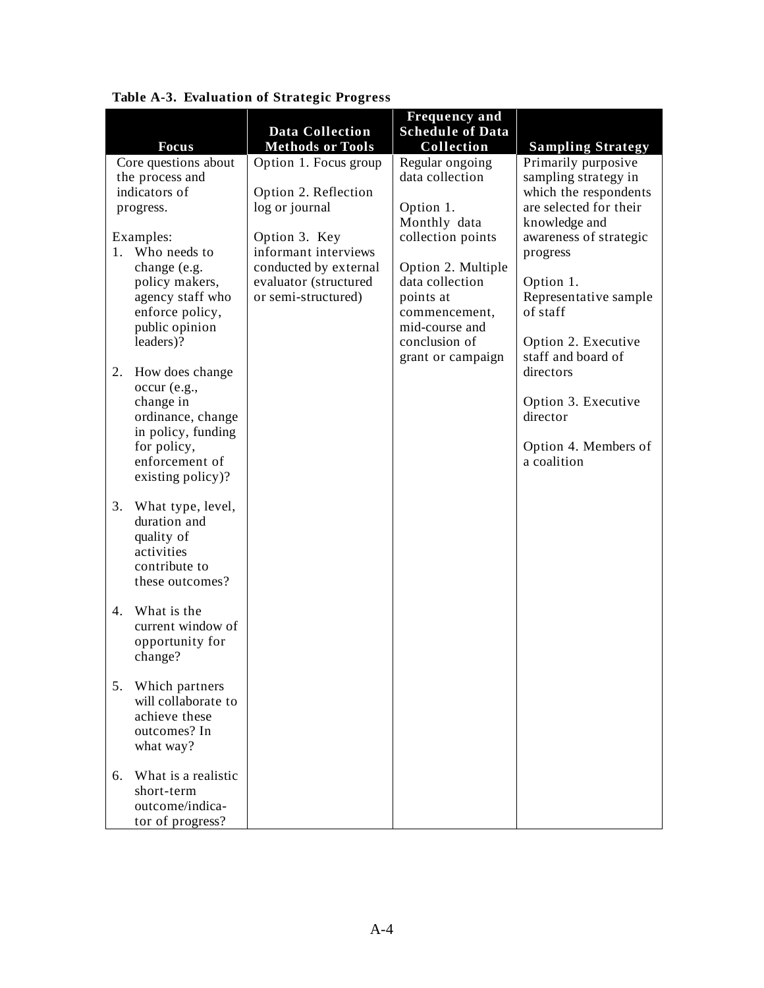|                                      |                                                  | <b>Frequency and</b>                  |                                                 |
|--------------------------------------|--------------------------------------------------|---------------------------------------|-------------------------------------------------|
|                                      | <b>Data Collection</b>                           | <b>Schedule of Data</b>               |                                                 |
| <b>Focus</b><br>Core questions about | <b>Methods or Tools</b><br>Option 1. Focus group | Collection<br>Regular ongoing         | <b>Sampling Strategy</b><br>Primarily purposive |
| the process and                      |                                                  | data collection                       | sampling strategy in                            |
| indicators of                        | Option 2. Reflection                             |                                       | which the respondents                           |
| progress.                            | log or journal                                   | Option 1.                             | are selected for their                          |
|                                      |                                                  | Monthly data                          | knowledge and                                   |
| Examples:                            | Option 3. Key                                    | collection points                     | awareness of strategic                          |
| 1. Who needs to                      | informant interviews                             |                                       | progress                                        |
| change (e.g.                         | conducted by external                            | Option 2. Multiple<br>data collection |                                                 |
| policy makers,<br>agency staff who   | evaluator (structured<br>or semi-structured)     | points at                             | Option 1.<br>Representative sample              |
| enforce policy,                      |                                                  | commencement,                         | of staff                                        |
| public opinion                       |                                                  | mid-course and                        |                                                 |
| leaders)?                            |                                                  | conclusion of                         | Option 2. Executive                             |
|                                      |                                                  | grant or campaign                     | staff and board of                              |
| How does change<br>2.                |                                                  |                                       | directors                                       |
| $occur$ (e.g.,                       |                                                  |                                       |                                                 |
| change in<br>ordinance, change       |                                                  |                                       | Option 3. Executive<br>director                 |
| in policy, funding                   |                                                  |                                       |                                                 |
| for policy,                          |                                                  |                                       | Option 4. Members of                            |
| enforcement of                       |                                                  |                                       | a coalition                                     |
| existing policy)?                    |                                                  |                                       |                                                 |
|                                      |                                                  |                                       |                                                 |
| 3.<br>What type, level,              |                                                  |                                       |                                                 |
| duration and<br>quality of           |                                                  |                                       |                                                 |
| activities                           |                                                  |                                       |                                                 |
| contribute to                        |                                                  |                                       |                                                 |
| these outcomes?                      |                                                  |                                       |                                                 |
|                                      |                                                  |                                       |                                                 |
| What is the<br>4.                    |                                                  |                                       |                                                 |
| current window of<br>opportunity for |                                                  |                                       |                                                 |
| change?                              |                                                  |                                       |                                                 |
|                                      |                                                  |                                       |                                                 |
| 5.<br>Which partners                 |                                                  |                                       |                                                 |
| will collaborate to                  |                                                  |                                       |                                                 |
| achieve these                        |                                                  |                                       |                                                 |
| outcomes? In                         |                                                  |                                       |                                                 |
| what way?                            |                                                  |                                       |                                                 |
| What is a realistic<br>6.            |                                                  |                                       |                                                 |
| short-term                           |                                                  |                                       |                                                 |
| outcome/indica-                      |                                                  |                                       |                                                 |
| tor of progress?                     |                                                  |                                       |                                                 |

#### **Table A-3. Evaluation of Strategic Progress**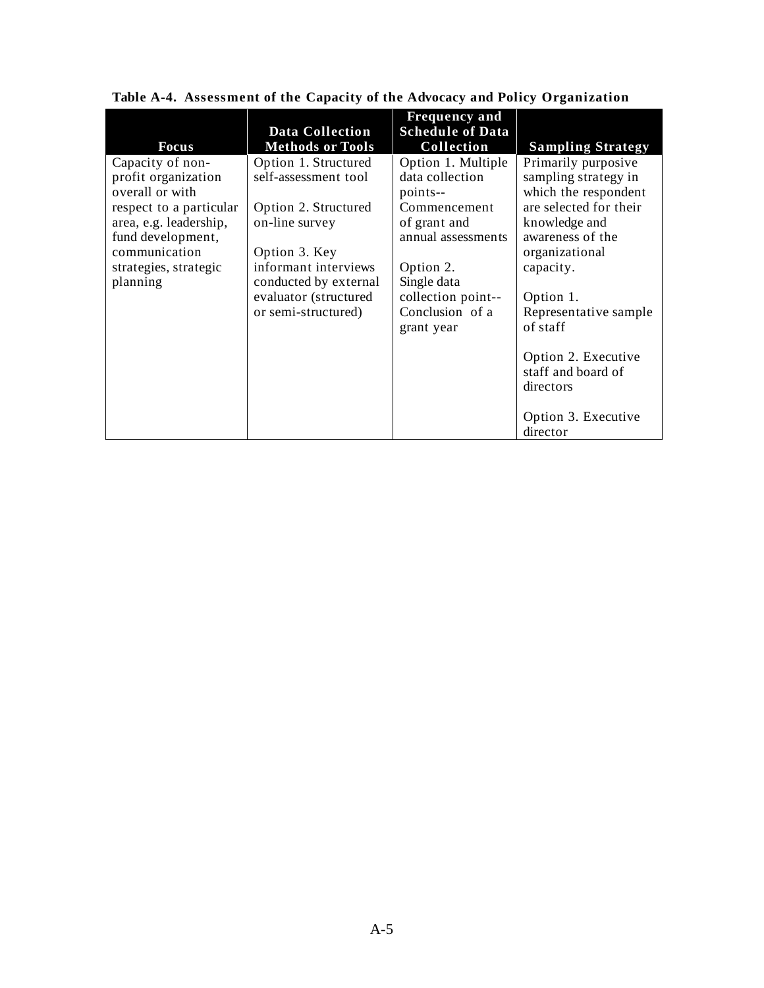| Focus                                                                                                                                                                                      | <b>Data Collection</b><br><b>Methods or Tools</b>                                                                                                                                                        | <b>Frequency and</b><br><b>Schedule of Data</b><br>Collection                                                                                                                              | <b>Sampling Strategy</b>                                                                                                                                                                                                                                                                                         |
|--------------------------------------------------------------------------------------------------------------------------------------------------------------------------------------------|----------------------------------------------------------------------------------------------------------------------------------------------------------------------------------------------------------|--------------------------------------------------------------------------------------------------------------------------------------------------------------------------------------------|------------------------------------------------------------------------------------------------------------------------------------------------------------------------------------------------------------------------------------------------------------------------------------------------------------------|
| Capacity of non-<br>profit organization<br>overall or with<br>respect to a particular<br>area, e.g. leadership,<br>fund development,<br>communication<br>strategies, strategic<br>planning | Option 1. Structured<br>self-assessment tool<br>Option 2. Structured<br>on-line survey<br>Option 3. Key<br>informant interviews<br>conducted by external<br>evaluator (structured<br>or semi-structured) | Option 1. Multiple<br>data collection<br>points--<br>Commencement<br>of grant and<br>annual assessments<br>Option 2.<br>Single data<br>collection point--<br>Conclusion of a<br>grant year | Primarily purposive<br>sampling strategy in<br>which the respondent<br>are selected for their<br>knowledge and<br>awareness of the<br>organizational<br>capacity.<br>Option 1.<br>Representative sample<br>of staff<br>Option 2. Executive<br>staff and board of<br>directors<br>Option 3. Executive<br>director |

# **Table A-4. Assessment of the Capacity of the Advocacy and Policy Organization**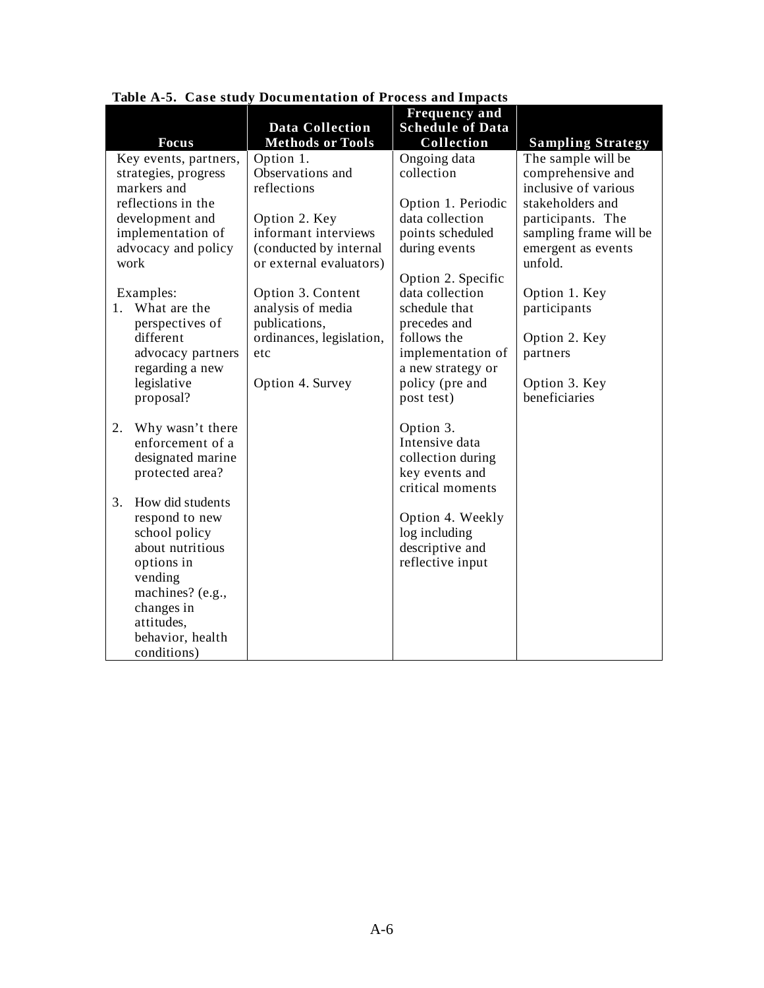|                                                                                                                              |                          | <b>Frequency and</b>                |                          |
|------------------------------------------------------------------------------------------------------------------------------|--------------------------|-------------------------------------|--------------------------|
|                                                                                                                              | <b>Data Collection</b>   | <b>Schedule of Data</b>             |                          |
| <b>Focus</b>                                                                                                                 | <b>Methods or Tools</b>  | Collection                          | <b>Sampling Strategy</b> |
| Key events, partners,                                                                                                        | Option 1.                | Ongoing data                        | The sample will be       |
| strategies, progress                                                                                                         | Observations and         | collection                          | comprehensive and        |
| markers and                                                                                                                  | reflections              |                                     | inclusive of various     |
| reflections in the                                                                                                           |                          | Option 1. Periodic                  | stakeholders and         |
| development and                                                                                                              | Option 2. Key            | data collection                     | participants. The        |
| implementation of                                                                                                            | informant interviews     | points scheduled                    | sampling frame will be   |
| advocacy and policy                                                                                                          | (conducted by internal   | during events                       | emergent as events       |
| work                                                                                                                         | or external evaluators)  |                                     | unfold.                  |
|                                                                                                                              |                          | Option 2. Specific                  |                          |
| Examples:                                                                                                                    | Option 3. Content        | data collection                     | Option 1. Key            |
| What are the<br>$1_{\cdot}$                                                                                                  | analysis of media        | schedule that                       | participants             |
| perspectives of                                                                                                              | publications,            | precedes and                        |                          |
| different                                                                                                                    | ordinances, legislation, | follows the                         | Option 2. Key            |
| advocacy partners                                                                                                            | etc                      | implementation of                   | partners                 |
| regarding a new                                                                                                              |                          | a new strategy or                   |                          |
| legislative                                                                                                                  | Option 4. Survey         | policy (pre and                     | Option 3. Key            |
| proposal?                                                                                                                    |                          | post test)                          | beneficiaries            |
|                                                                                                                              |                          |                                     |                          |
| 2.<br>Why wasn't there                                                                                                       |                          | Option 3.                           |                          |
| enforcement of a                                                                                                             |                          | Intensive data                      |                          |
| designated marine                                                                                                            |                          | collection during                   |                          |
| protected area?                                                                                                              |                          | key events and<br>critical moments  |                          |
| 3.<br>How did students                                                                                                       |                          |                                     |                          |
| respond to new                                                                                                               |                          | Option 4. Weekly                    |                          |
| school policy                                                                                                                |                          | log including                       |                          |
|                                                                                                                              |                          |                                     |                          |
|                                                                                                                              |                          |                                     |                          |
|                                                                                                                              |                          |                                     |                          |
|                                                                                                                              |                          |                                     |                          |
|                                                                                                                              |                          |                                     |                          |
|                                                                                                                              |                          |                                     |                          |
|                                                                                                                              |                          |                                     |                          |
|                                                                                                                              |                          |                                     |                          |
| about nutritious<br>options in<br>vending<br>machines? (e.g.,<br>changes in<br>attitudes,<br>behavior, health<br>conditions) |                          | descriptive and<br>reflective input |                          |

**Table A-5. Case study Documentation of Process and Impacts**